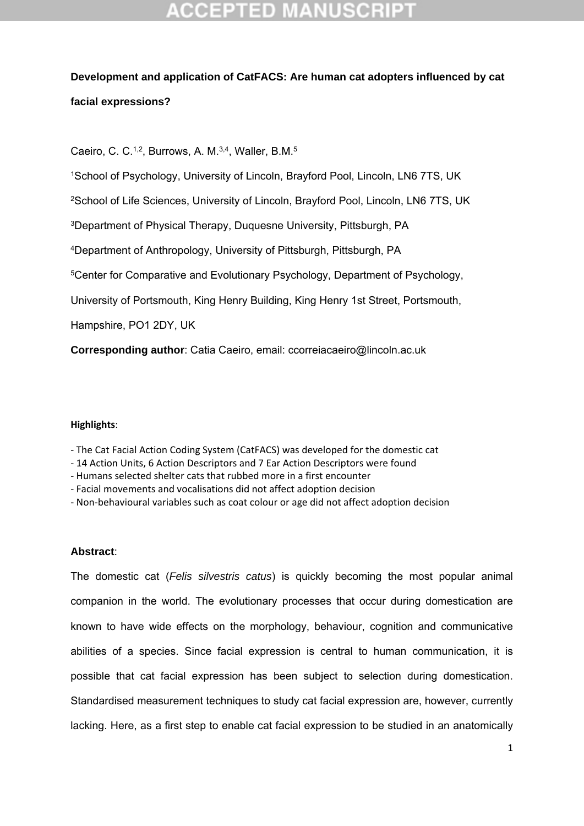## **Development and application of CatFACS: Are human cat adopters influenced by cat facial expressions?**

Caeiro, C. C.<sup>1,2</sup>, Burrows, A. M.<sup>3,4</sup>, Waller, B.M.<sup>5</sup>

1School of Psychology, University of Lincoln, Brayford Pool, Lincoln, LN6 7TS, UK

<sup>2</sup>School of Life Sciences, University of Lincoln, Brayford Pool, Lincoln, LN6 7TS, UK

3Department of Physical Therapy, Duquesne University, Pittsburgh, PA

4Department of Anthropology, University of Pittsburgh, Pittsburgh, PA

5Center for Comparative and Evolutionary Psychology, Department of Psychology,

University of Portsmouth, King Henry Building, King Henry 1st Street, Portsmouth,

Hampshire, PO1 2DY, UK

**Corresponding author**: Catia Caeiro, email: ccorreiacaeiro@lincoln.ac.uk

### **Highlights**:

‐ The Cat Facial Action Coding System (CatFACS) was developed for the domestic cat

- ‐ 14 Action Units, 6 Action Descriptors and 7 Ear Action Descriptors were found
- ‐ Humans selected shelter cats that rubbed more in a first encounter
- ‐ Facial movements and vocalisations did not affect adoption decision

‐ Non‐behavioural variables such as coat colour or age did not affect adoption decision

### **Abstract**:

The domestic cat (*Felis silvestris catus*) is quickly becoming the most popular animal companion in the world. The evolutionary processes that occur during domestication are known to have wide effects on the morphology, behaviour, cognition and communicative abilities of a species. Since facial expression is central to human communication, it is possible that cat facial expression has been subject to selection during domestication. Standardised measurement techniques to study cat facial expression are, however, currently lacking. Here, as a first step to enable cat facial expression to be studied in an anatomically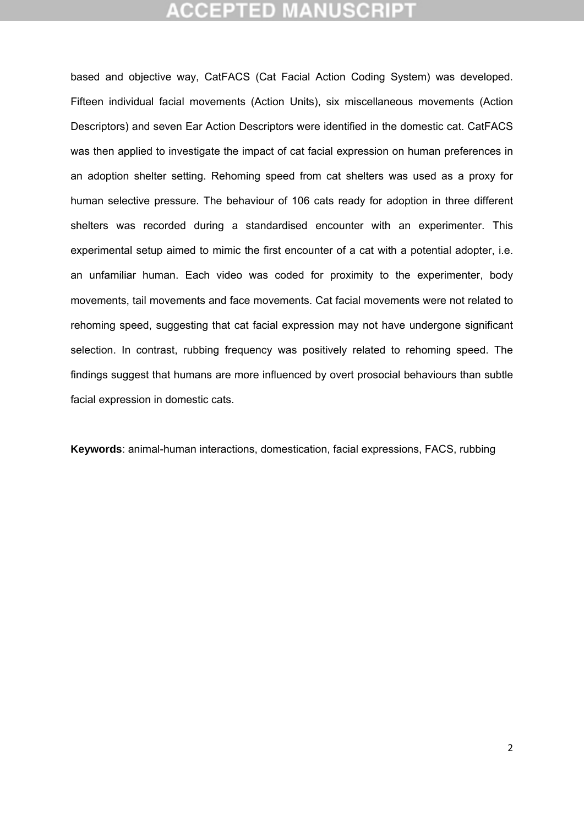## ICEPTED M

based and objective way, CatFACS (Cat Facial Action Coding System) was developed. Fifteen individual facial movements (Action Units), six miscellaneous movements (Action Descriptors) and seven Ear Action Descriptors were identified in the domestic cat. CatFACS was then applied to investigate the impact of cat facial expression on human preferences in an adoption shelter setting. Rehoming speed from cat shelters was used as a proxy for human selective pressure. The behaviour of 106 cats ready for adoption in three different shelters was recorded during a standardised encounter with an experimenter. This experimental setup aimed to mimic the first encounter of a cat with a potential adopter, i.e. an unfamiliar human. Each video was coded for proximity to the experimenter, body movements, tail movements and face movements. Cat facial movements were not related to rehoming speed, suggesting that cat facial expression may not have undergone significant selection. In contrast, rubbing frequency was positively related to rehoming speed. The findings suggest that humans are more influenced by overt prosocial behaviours than subtle facial expression in domestic cats.

**Keywords**: animal-human interactions, domestication, facial expressions, FACS, rubbing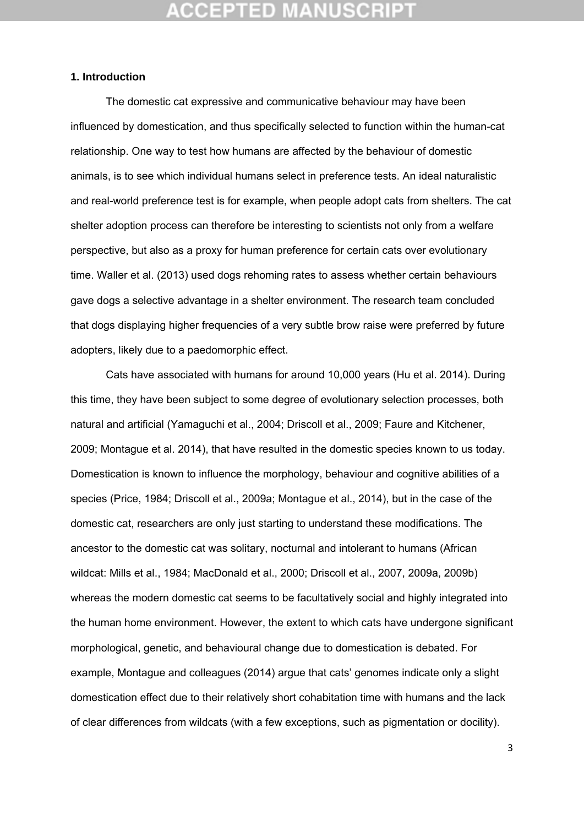## **CEPTED M**

#### **1. Introduction**

 The domestic cat expressive and communicative behaviour may have been influenced by domestication, and thus specifically selected to function within the human-cat relationship. One way to test how humans are affected by the behaviour of domestic animals, is to see which individual humans select in preference tests. An ideal naturalistic and real-world preference test is for example, when people adopt cats from shelters. The cat shelter adoption process can therefore be interesting to scientists not only from a welfare perspective, but also as a proxy for human preference for certain cats over evolutionary time. Waller et al. (2013) used dogs rehoming rates to assess whether certain behaviours gave dogs a selective advantage in a shelter environment. The research team concluded that dogs displaying higher frequencies of a very subtle brow raise were preferred by future adopters, likely due to a paedomorphic effect.

 Cats have associated with humans for around 10,000 years (Hu et al. 2014). During this time, they have been subject to some degree of evolutionary selection processes, both natural and artificial (Yamaguchi et al., 2004; Driscoll et al., 2009; Faure and Kitchener, 2009; Montague et al. 2014), that have resulted in the domestic species known to us today. Domestication is known to influence the morphology, behaviour and cognitive abilities of a species (Price, 1984; Driscoll et al., 2009a; Montague et al., 2014), but in the case of the domestic cat, researchers are only just starting to understand these modifications. The ancestor to the domestic cat was solitary, nocturnal and intolerant to humans (African wildcat: Mills et al., 1984; MacDonald et al., 2000; Driscoll et al., 2007, 2009a, 2009b) whereas the modern domestic cat seems to be facultatively social and highly integrated into the human home environment. However, the extent to which cats have undergone significant morphological, genetic, and behavioural change due to domestication is debated. For example, Montague and colleagues (2014) argue that cats' genomes indicate only a slight domestication effect due to their relatively short cohabitation time with humans and the lack of clear differences from wildcats (with a few exceptions, such as pigmentation or docility).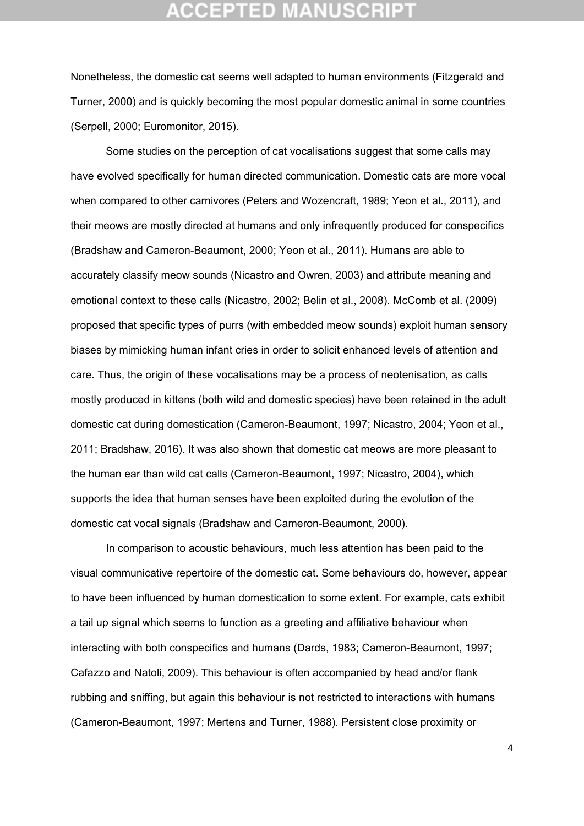Nonetheless, the domestic cat seems well adapted to human environments (Fitzgerald and Turner, 2000) and is quickly becoming the most popular domestic animal in some countries (Serpell, 2000; Euromonitor, 2015).

 Some studies on the perception of cat vocalisations suggest that some calls may have evolved specifically for human directed communication. Domestic cats are more vocal when compared to other carnivores (Peters and Wozencraft, 1989; Yeon et al., 2011), and their meows are mostly directed at humans and only infrequently produced for conspecifics (Bradshaw and Cameron-Beaumont, 2000; Yeon et al., 2011). Humans are able to accurately classify meow sounds (Nicastro and Owren, 2003) and attribute meaning and emotional context to these calls (Nicastro, 2002; Belin et al., 2008). McComb et al. (2009) proposed that specific types of purrs (with embedded meow sounds) exploit human sensory biases by mimicking human infant cries in order to solicit enhanced levels of attention and care. Thus, the origin of these vocalisations may be a process of neotenisation, as calls mostly produced in kittens (both wild and domestic species) have been retained in the adult domestic cat during domestication (Cameron-Beaumont, 1997; Nicastro, 2004; Yeon et al., 2011; Bradshaw, 2016). It was also shown that domestic cat meows are more pleasant to the human ear than wild cat calls (Cameron-Beaumont, 1997; Nicastro, 2004), which supports the idea that human senses have been exploited during the evolution of the domestic cat vocal signals (Bradshaw and Cameron-Beaumont, 2000).

In comparison to acoustic behaviours, much less attention has been paid to the visual communicative repertoire of the domestic cat. Some behaviours do, however, appear to have been influenced by human domestication to some extent. For example, cats exhibit a tail up signal which seems to function as a greeting and affiliative behaviour when interacting with both conspecifics and humans (Dards, 1983; Cameron-Beaumont, 1997; Cafazzo and Natoli, 2009). This behaviour is often accompanied by head and/or flank rubbing and sniffing, but again this behaviour is not restricted to interactions with humans (Cameron-Beaumont, 1997; Mertens and Turner, 1988). Persistent close proximity or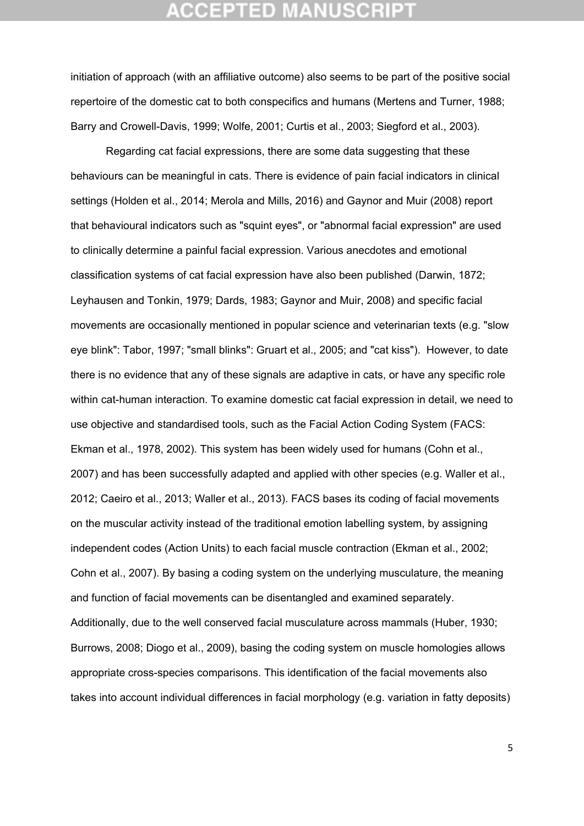initiation of approach (with an affiliative outcome) also seems to be part of the positive social repertoire of the domestic cat to both conspecifics and humans (Mertens and Turner, 1988; Barry and Crowell-Davis, 1999; Wolfe, 2001; Curtis et al., 2003; Siegford et al., 2003).

Regarding cat facial expressions, there are some data suggesting that these behaviours can be meaningful in cats. There is evidence of pain facial indicators in clinical settings (Holden et al., 2014; Merola and Mills, 2016) and Gaynor and Muir (2008) report that behavioural indicators such as "squint eyes", or "abnormal facial expression" are used to clinically determine a painful facial expression. Various anecdotes and emotional classification systems of cat facial expression have also been published (Darwin, 1872; Leyhausen and Tonkin, 1979; Dards, 1983; Gaynor and Muir, 2008) and specific facial movements are occasionally mentioned in popular science and veterinarian texts (e.g. "slow eye blink": Tabor, 1997; "small blinks": Gruart et al., 2005; and "cat kiss"). However, to date there is no evidence that any of these signals are adaptive in cats, or have any specific role within cat-human interaction. To examine domestic cat facial expression in detail, we need to use objective and standardised tools, such as the Facial Action Coding System (FACS: Ekman et al., 1978, 2002). This system has been widely used for humans (Cohn et al., 2007) and has been successfully adapted and applied with other species (e.g. Waller et al., 2012; Caeiro et al., 2013; Waller et al., 2013). FACS bases its coding of facial movements on the muscular activity instead of the traditional emotion labelling system, by assigning independent codes (Action Units) to each facial muscle contraction (Ekman et al., 2002; Cohn et al., 2007). By basing a coding system on the underlying musculature, the meaning and function of facial movements can be disentangled and examined separately. Additionally, due to the well conserved facial musculature across mammals (Huber, 1930; Burrows, 2008; Diogo et al., 2009), basing the coding system on muscle homologies allows appropriate cross-species comparisons. This identification of the facial movements also takes into account individual differences in facial morphology (e.g. variation in fatty deposits)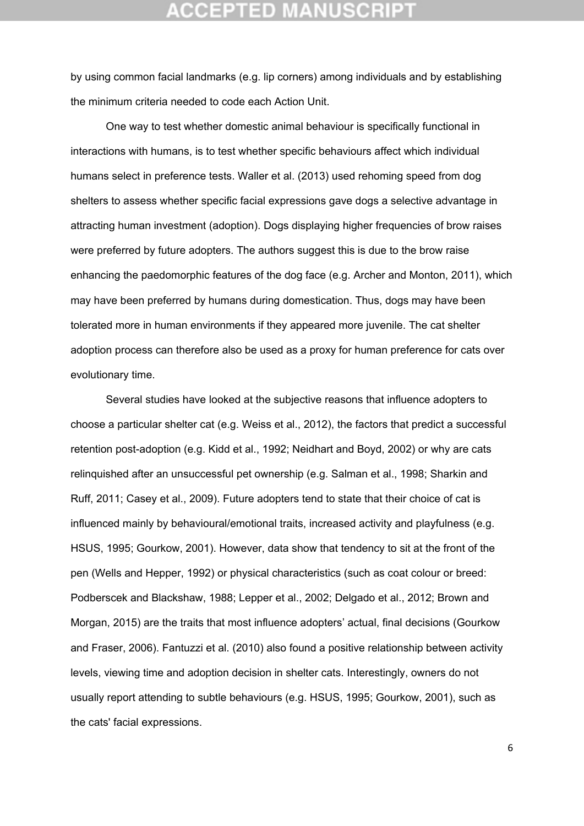## **CEPTED**

by using common facial landmarks (e.g. lip corners) among individuals and by establishing the minimum criteria needed to code each Action Unit.

One way to test whether domestic animal behaviour is specifically functional in interactions with humans, is to test whether specific behaviours affect which individual humans select in preference tests. Waller et al. (2013) used rehoming speed from dog shelters to assess whether specific facial expressions gave dogs a selective advantage in attracting human investment (adoption). Dogs displaying higher frequencies of brow raises were preferred by future adopters. The authors suggest this is due to the brow raise enhancing the paedomorphic features of the dog face (e.g. Archer and Monton, 2011), which may have been preferred by humans during domestication. Thus, dogs may have been tolerated more in human environments if they appeared more juvenile. The cat shelter adoption process can therefore also be used as a proxy for human preference for cats over evolutionary time.

 Several studies have looked at the subjective reasons that influence adopters to choose a particular shelter cat (e.g. Weiss et al., 2012), the factors that predict a successful retention post-adoption (e.g. Kidd et al., 1992; Neidhart and Boyd, 2002) or why are cats relinquished after an unsuccessful pet ownership (e.g. Salman et al., 1998; Sharkin and Ruff, 2011; Casey et al., 2009). Future adopters tend to state that their choice of cat is influenced mainly by behavioural/emotional traits, increased activity and playfulness (e.g. HSUS, 1995; Gourkow, 2001). However, data show that tendency to sit at the front of the pen (Wells and Hepper, 1992) or physical characteristics (such as coat colour or breed: Podberscek and Blackshaw, 1988; Lepper et al., 2002; Delgado et al., 2012; Brown and Morgan, 2015) are the traits that most influence adopters' actual, final decisions (Gourkow and Fraser, 2006). Fantuzzi et al. (2010) also found a positive relationship between activity levels, viewing time and adoption decision in shelter cats. Interestingly, owners do not usually report attending to subtle behaviours (e.g. HSUS, 1995; Gourkow, 2001), such as the cats' facial expressions.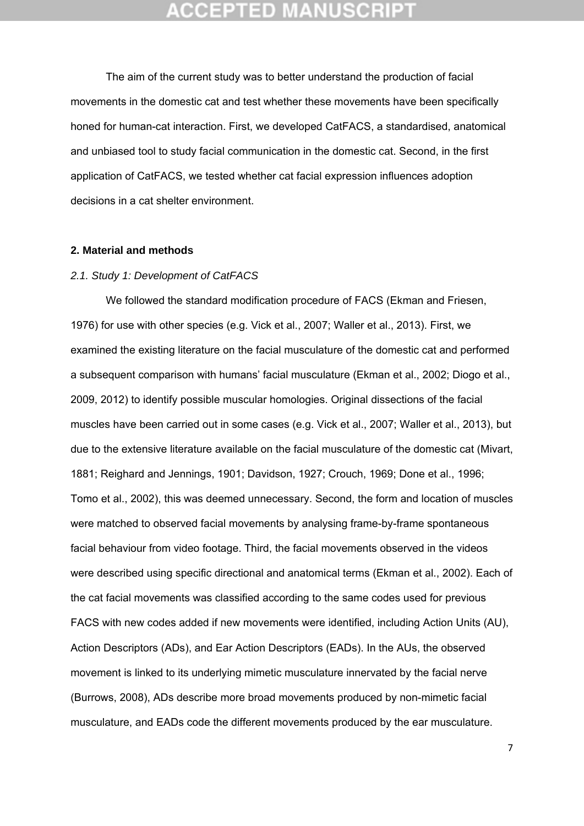The aim of the current study was to better understand the production of facial movements in the domestic cat and test whether these movements have been specifically honed for human-cat interaction. First, we developed CatFACS, a standardised, anatomical and unbiased tool to study facial communication in the domestic cat. Second, in the first application of CatFACS, we tested whether cat facial expression influences adoption decisions in a cat shelter environment.

#### **2. Material and methods**

#### *2.1. Study 1: Development of CatFACS*

 We followed the standard modification procedure of FACS (Ekman and Friesen, 1976) for use with other species (e.g. Vick et al., 2007; Waller et al., 2013). First, we examined the existing literature on the facial musculature of the domestic cat and performed a subsequent comparison with humans' facial musculature (Ekman et al., 2002; Diogo et al., 2009, 2012) to identify possible muscular homologies. Original dissections of the facial muscles have been carried out in some cases (e.g. Vick et al., 2007; Waller et al., 2013), but due to the extensive literature available on the facial musculature of the domestic cat (Mivart, 1881; Reighard and Jennings, 1901; Davidson, 1927; Crouch, 1969; Done et al., 1996; Tomo et al., 2002), this was deemed unnecessary. Second, the form and location of muscles were matched to observed facial movements by analysing frame-by-frame spontaneous facial behaviour from video footage. Third, the facial movements observed in the videos were described using specific directional and anatomical terms (Ekman et al., 2002). Each of the cat facial movements was classified according to the same codes used for previous FACS with new codes added if new movements were identified, including Action Units (AU), Action Descriptors (ADs), and Ear Action Descriptors (EADs). In the AUs, the observed movement is linked to its underlying mimetic musculature innervated by the facial nerve (Burrows, 2008), ADs describe more broad movements produced by non-mimetic facial musculature, and EADs code the different movements produced by the ear musculature.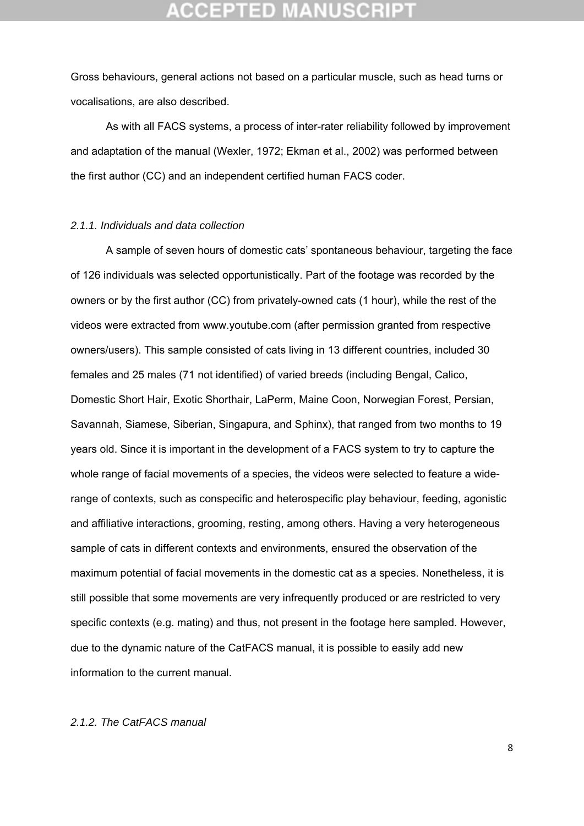## **CEPTED MAN**

Gross behaviours, general actions not based on a particular muscle, such as head turns or vocalisations, are also described.

 As with all FACS systems, a process of inter-rater reliability followed by improvement and adaptation of the manual (Wexler, 1972; Ekman et al., 2002) was performed between the first author (CC) and an independent certified human FACS coder.

#### *2.1.1. Individuals and data collection*

 A sample of seven hours of domestic cats' spontaneous behaviour, targeting the face of 126 individuals was selected opportunistically. Part of the footage was recorded by the owners or by the first author (CC) from privately-owned cats (1 hour), while the rest of the videos were extracted from www.youtube.com (after permission granted from respective owners/users). This sample consisted of cats living in 13 different countries, included 30 females and 25 males (71 not identified) of varied breeds (including Bengal, Calico, Domestic Short Hair, Exotic Shorthair, LaPerm, Maine Coon, Norwegian Forest, Persian, Savannah, Siamese, Siberian, Singapura, and Sphinx), that ranged from two months to 19 years old. Since it is important in the development of a FACS system to try to capture the whole range of facial movements of a species, the videos were selected to feature a widerange of contexts, such as conspecific and heterospecific play behaviour, feeding, agonistic and affiliative interactions, grooming, resting, among others. Having a very heterogeneous sample of cats in different contexts and environments, ensured the observation of the maximum potential of facial movements in the domestic cat as a species. Nonetheless, it is still possible that some movements are very infrequently produced or are restricted to very specific contexts (e.g. mating) and thus, not present in the footage here sampled. However, due to the dynamic nature of the CatFACS manual, it is possible to easily add new information to the current manual.

### *2.1.2. The CatFACS manual*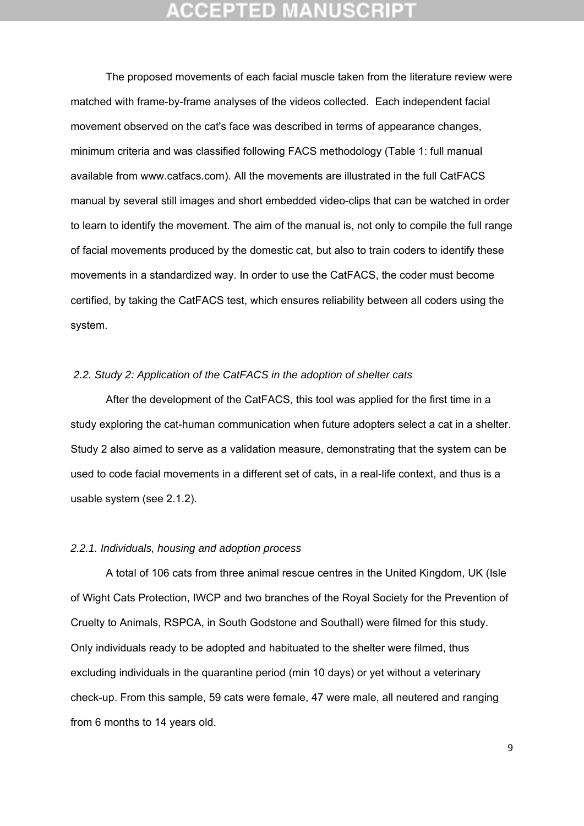## **:CEPTED MAN**

The proposed movements of each facial muscle taken from the literature review were matched with frame-by-frame analyses of the videos collected. Each independent facial movement observed on the cat's face was described in terms of appearance changes, minimum criteria and was classified following FACS methodology (Table 1: full manual available from www.catfacs.com). All the movements are illustrated in the full CatFACS manual by several still images and short embedded video-clips that can be watched in order to learn to identify the movement. The aim of the manual is, not only to compile the full range of facial movements produced by the domestic cat, but also to train coders to identify these movements in a standardized way. In order to use the CatFACS, the coder must become certified, by taking the CatFACS test, which ensures reliability between all coders using the system.

### *2.2. Study 2: Application of the CatFACS in the adoption of shelter cats*

 After the development of the CatFACS, this tool was applied for the first time in a study exploring the cat-human communication when future adopters select a cat in a shelter. Study 2 also aimed to serve as a validation measure, demonstrating that the system can be used to code facial movements in a different set of cats, in a real-life context, and thus is a usable system (see 2.1.2).

#### *2.2.1. Individuals, housing and adoption process*

A total of 106 cats from three animal rescue centres in the United Kingdom, UK (Isle of Wight Cats Protection, IWCP and two branches of the Royal Society for the Prevention of Cruelty to Animals, RSPCA, in South Godstone and Southall) were filmed for this study. Only individuals ready to be adopted and habituated to the shelter were filmed, thus excluding individuals in the quarantine period (min 10 days) or yet without a veterinary check-up. From this sample, 59 cats were female, 47 were male, all neutered and ranging from 6 months to 14 years old.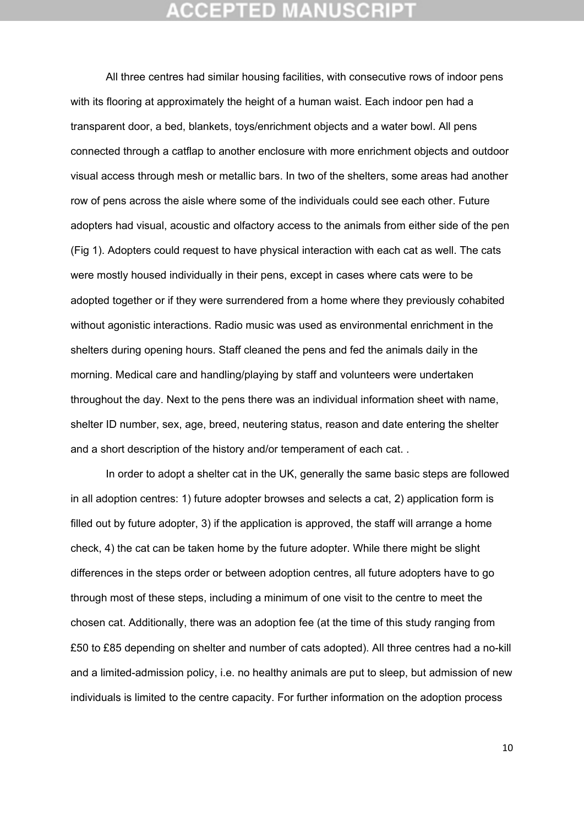All three centres had similar housing facilities, with consecutive rows of indoor pens with its flooring at approximately the height of a human waist. Each indoor pen had a transparent door, a bed, blankets, toys/enrichment objects and a water bowl. All pens connected through a catflap to another enclosure with more enrichment objects and outdoor visual access through mesh or metallic bars. In two of the shelters, some areas had another row of pens across the aisle where some of the individuals could see each other. Future adopters had visual, acoustic and olfactory access to the animals from either side of the pen (Fig 1). Adopters could request to have physical interaction with each cat as well. The cats were mostly housed individually in their pens, except in cases where cats were to be adopted together or if they were surrendered from a home where they previously cohabited without agonistic interactions. Radio music was used as environmental enrichment in the shelters during opening hours. Staff cleaned the pens and fed the animals daily in the morning. Medical care and handling/playing by staff and volunteers were undertaken throughout the day. Next to the pens there was an individual information sheet with name, shelter ID number, sex, age, breed, neutering status, reason and date entering the shelter and a short description of the history and/or temperament of each cat. .

In order to adopt a shelter cat in the UK, generally the same basic steps are followed in all adoption centres: 1) future adopter browses and selects a cat, 2) application form is filled out by future adopter, 3) if the application is approved, the staff will arrange a home check, 4) the cat can be taken home by the future adopter. While there might be slight differences in the steps order or between adoption centres, all future adopters have to go through most of these steps, including a minimum of one visit to the centre to meet the chosen cat. Additionally, there was an adoption fee (at the time of this study ranging from £50 to £85 depending on shelter and number of cats adopted). All three centres had a no-kill and a limited-admission policy, i.e. no healthy animals are put to sleep, but admission of new individuals is limited to the centre capacity. For further information on the adoption process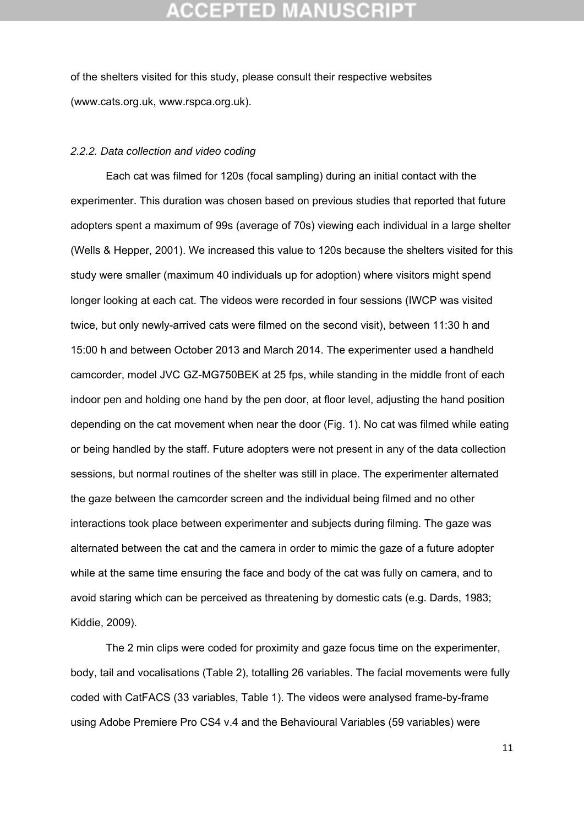of the shelters visited for this study, please consult their respective websites (www.cats.org.uk, www.rspca.org.uk).

#### *2.2.2. Data collection and video coding*

Each cat was filmed for 120s (focal sampling) during an initial contact with the experimenter. This duration was chosen based on previous studies that reported that future adopters spent a maximum of 99s (average of 70s) viewing each individual in a large shelter (Wells & Hepper, 2001). We increased this value to 120s because the shelters visited for this study were smaller (maximum 40 individuals up for adoption) where visitors might spend longer looking at each cat. The videos were recorded in four sessions (IWCP was visited twice, but only newly-arrived cats were filmed on the second visit), between 11:30 h and 15:00 h and between October 2013 and March 2014. The experimenter used a handheld camcorder, model JVC GZ-MG750BEK at 25 fps, while standing in the middle front of each indoor pen and holding one hand by the pen door, at floor level, adjusting the hand position depending on the cat movement when near the door (Fig. 1). No cat was filmed while eating or being handled by the staff. Future adopters were not present in any of the data collection sessions, but normal routines of the shelter was still in place. The experimenter alternated the gaze between the camcorder screen and the individual being filmed and no other interactions took place between experimenter and subjects during filming. The gaze was alternated between the cat and the camera in order to mimic the gaze of a future adopter while at the same time ensuring the face and body of the cat was fully on camera, and to avoid staring which can be perceived as threatening by domestic cats (e.g. Dards, 1983; Kiddie, 2009).

The 2 min clips were coded for proximity and gaze focus time on the experimenter, body, tail and vocalisations (Table 2), totalling 26 variables. The facial movements were fully coded with CatFACS (33 variables, Table 1). The videos were analysed frame-by-frame using Adobe Premiere Pro CS4 v.4 and the Behavioural Variables (59 variables) were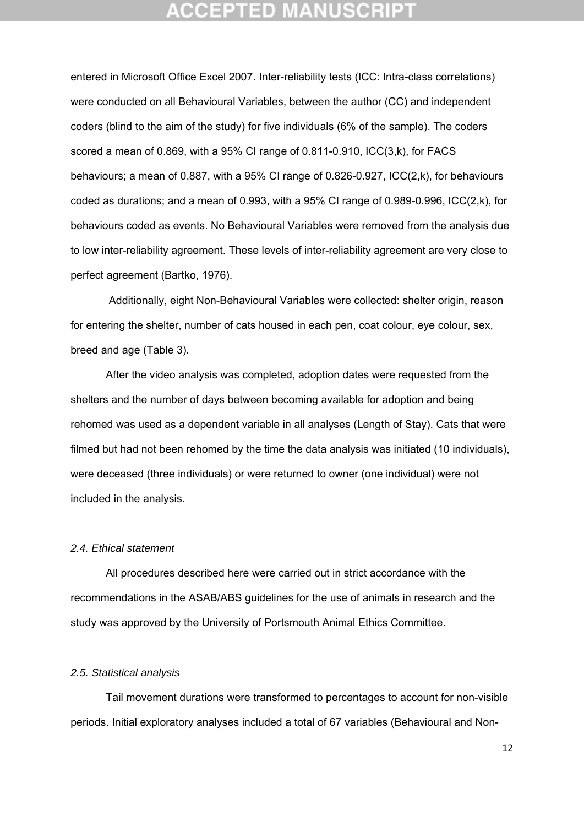## **CEPTED M**

entered in Microsoft Office Excel 2007. Inter-reliability tests (ICC: Intra-class correlations) were conducted on all Behavioural Variables, between the author (CC) and independent coders (blind to the aim of the study) for five individuals (6% of the sample). The coders scored a mean of 0.869, with a 95% CI range of 0.811-0.910, ICC(3,k), for FACS behaviours; a mean of 0.887, with a 95% CI range of 0.826-0.927, ICC(2,k), for behaviours coded as durations; and a mean of 0.993, with a 95% CI range of 0.989-0.996, ICC(2,k), for behaviours coded as events. No Behavioural Variables were removed from the analysis due to low inter-reliability agreement. These levels of inter-reliability agreement are very close to perfect agreement (Bartko, 1976).

 Additionally, eight Non-Behavioural Variables were collected: shelter origin, reason for entering the shelter, number of cats housed in each pen, coat colour, eye colour, sex, breed and age (Table 3).

After the video analysis was completed, adoption dates were requested from the shelters and the number of days between becoming available for adoption and being rehomed was used as a dependent variable in all analyses (Length of Stay). Cats that were filmed but had not been rehomed by the time the data analysis was initiated (10 individuals), were deceased (three individuals) or were returned to owner (one individual) were not included in the analysis.

#### *2.4. Ethical statement*

All procedures described here were carried out in strict accordance with the recommendations in the ASAB/ABS guidelines for the use of animals in research and the study was approved by the University of Portsmouth Animal Ethics Committee.

### *2.5. Statistical analysis*

Tail movement durations were transformed to percentages to account for non-visible periods. Initial exploratory analyses included a total of 67 variables (Behavioural and Non-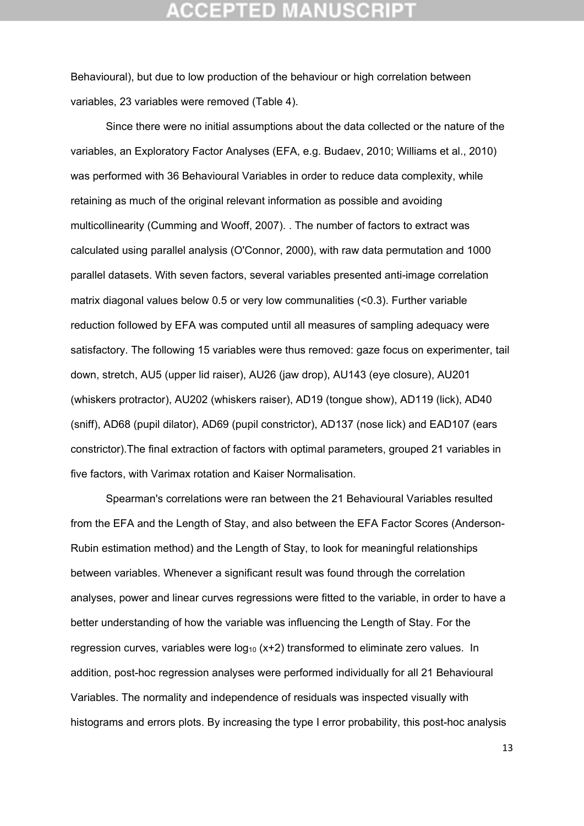## **CEPTED M**

Behavioural), but due to low production of the behaviour or high correlation between variables, 23 variables were removed (Table 4).

Since there were no initial assumptions about the data collected or the nature of the variables, an Exploratory Factor Analyses (EFA, e.g. Budaev, 2010; Williams et al., 2010) was performed with 36 Behavioural Variables in order to reduce data complexity, while retaining as much of the original relevant information as possible and avoiding multicollinearity (Cumming and Wooff, 2007). . The number of factors to extract was calculated using parallel analysis (O'Connor, 2000), with raw data permutation and 1000 parallel datasets. With seven factors, several variables presented anti-image correlation matrix diagonal values below 0.5 or very low communalities (<0.3). Further variable reduction followed by EFA was computed until all measures of sampling adequacy were satisfactory. The following 15 variables were thus removed: gaze focus on experimenter, tail down, stretch, AU5 (upper lid raiser), AU26 (jaw drop), AU143 (eye closure), AU201 (whiskers protractor), AU202 (whiskers raiser), AD19 (tongue show), AD119 (lick), AD40 (sniff), AD68 (pupil dilator), AD69 (pupil constrictor), AD137 (nose lick) and EAD107 (ears constrictor).The final extraction of factors with optimal parameters, grouped 21 variables in five factors, with Varimax rotation and Kaiser Normalisation.

Spearman's correlations were ran between the 21 Behavioural Variables resulted from the EFA and the Length of Stay, and also between the EFA Factor Scores (Anderson-Rubin estimation method) and the Length of Stay, to look for meaningful relationships between variables. Whenever a significant result was found through the correlation analyses, power and linear curves regressions were fitted to the variable, in order to have a better understanding of how the variable was influencing the Length of Stay. For the regression curves, variables were  $log_{10}$  (x+2) transformed to eliminate zero values. In addition, post-hoc regression analyses were performed individually for all 21 Behavioural Variables. The normality and independence of residuals was inspected visually with histograms and errors plots. By increasing the type I error probability, this post-hoc analysis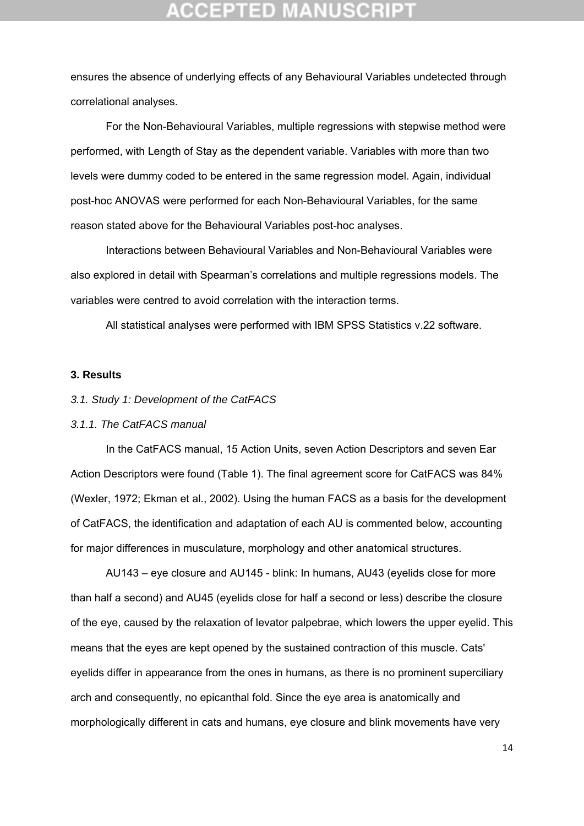ensures the absence of underlying effects of any Behavioural Variables undetected through correlational analyses.

For the Non-Behavioural Variables, multiple regressions with stepwise method were performed, with Length of Stay as the dependent variable. Variables with more than two levels were dummy coded to be entered in the same regression model. Again, individual post-hoc ANOVAS were performed for each Non-Behavioural Variables, for the same reason stated above for the Behavioural Variables post-hoc analyses.

Interactions between Behavioural Variables and Non-Behavioural Variables were also explored in detail with Spearman's correlations and multiple regressions models. The variables were centred to avoid correlation with the interaction terms.

All statistical analyses were performed with IBM SPSS Statistics v.22 software.

### **3. Results**

#### *3.1. Study 1: Development of the CatFACS*

#### *3.1.1. The CatFACS manual*

In the CatFACS manual, 15 Action Units, seven Action Descriptors and seven Ear Action Descriptors were found (Table 1). The final agreement score for CatFACS was 84% (Wexler, 1972; Ekman et al., 2002). Using the human FACS as a basis for the development of CatFACS, the identification and adaptation of each AU is commented below, accounting for major differences in musculature, morphology and other anatomical structures.

AU143 – eye closure and AU145 - blink: In humans, AU43 (eyelids close for more than half a second) and AU45 (eyelids close for half a second or less) describe the closure of the eye, caused by the relaxation of levator palpebrae, which lowers the upper eyelid. This means that the eyes are kept opened by the sustained contraction of this muscle. Cats' eyelids differ in appearance from the ones in humans, as there is no prominent superciliary arch and consequently, no epicanthal fold. Since the eye area is anatomically and morphologically different in cats and humans, eye closure and blink movements have very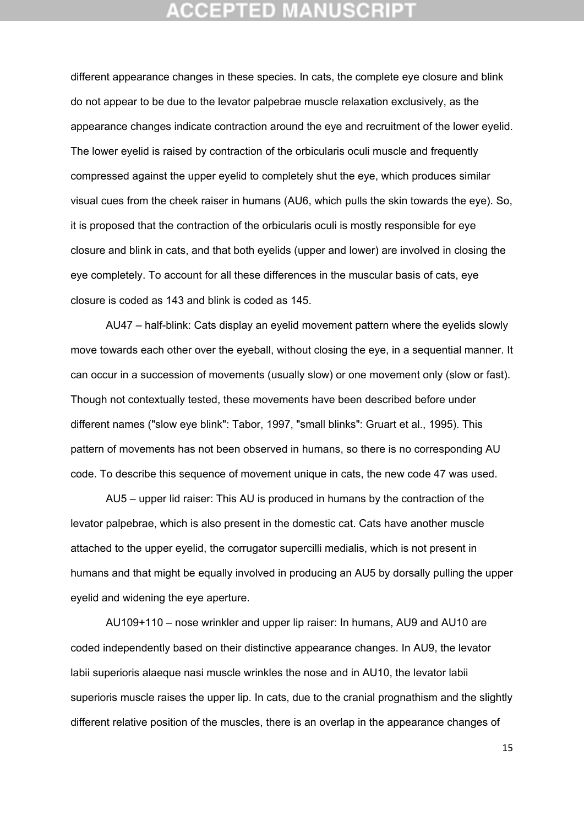different appearance changes in these species. In cats, the complete eye closure and blink do not appear to be due to the levator palpebrae muscle relaxation exclusively, as the appearance changes indicate contraction around the eye and recruitment of the lower eyelid. The lower eyelid is raised by contraction of the orbicularis oculi muscle and frequently compressed against the upper eyelid to completely shut the eye, which produces similar visual cues from the cheek raiser in humans (AU6, which pulls the skin towards the eye). So, it is proposed that the contraction of the orbicularis oculi is mostly responsible for eye closure and blink in cats, and that both eyelids (upper and lower) are involved in closing the eye completely. To account for all these differences in the muscular basis of cats, eye closure is coded as 143 and blink is coded as 145.

AU47 – half-blink: Cats display an eyelid movement pattern where the eyelids slowly move towards each other over the eyeball, without closing the eye, in a sequential manner. It can occur in a succession of movements (usually slow) or one movement only (slow or fast). Though not contextually tested, these movements have been described before under different names ("slow eye blink": Tabor, 1997, "small blinks": Gruart et al., 1995). This pattern of movements has not been observed in humans, so there is no corresponding AU code. To describe this sequence of movement unique in cats, the new code 47 was used.

AU5 – upper lid raiser: This AU is produced in humans by the contraction of the levator palpebrae, which is also present in the domestic cat. Cats have another muscle attached to the upper eyelid, the corrugator supercilli medialis, which is not present in humans and that might be equally involved in producing an AU5 by dorsally pulling the upper eyelid and widening the eye aperture.

AU109+110 – nose wrinkler and upper lip raiser: In humans, AU9 and AU10 are coded independently based on their distinctive appearance changes. In AU9, the levator labii superioris alaeque nasi muscle wrinkles the nose and in AU10, the levator labii superioris muscle raises the upper lip. In cats, due to the cranial prognathism and the slightly different relative position of the muscles, there is an overlap in the appearance changes of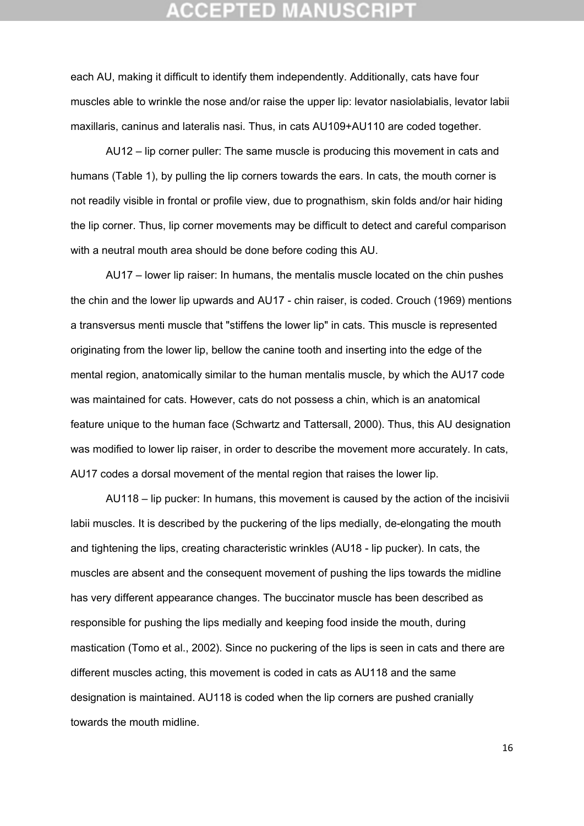each AU, making it difficult to identify them independently. Additionally, cats have four muscles able to wrinkle the nose and/or raise the upper lip: levator nasiolabialis, levator labii maxillaris, caninus and lateralis nasi. Thus, in cats AU109+AU110 are coded together.

AU12 – lip corner puller: The same muscle is producing this movement in cats and humans (Table 1), by pulling the lip corners towards the ears. In cats, the mouth corner is not readily visible in frontal or profile view, due to prognathism, skin folds and/or hair hiding the lip corner. Thus, lip corner movements may be difficult to detect and careful comparison with a neutral mouth area should be done before coding this AU.

AU17 – lower lip raiser: In humans, the mentalis muscle located on the chin pushes the chin and the lower lip upwards and AU17 - chin raiser, is coded. Crouch (1969) mentions a transversus menti muscle that "stiffens the lower lip" in cats. This muscle is represented originating from the lower lip, bellow the canine tooth and inserting into the edge of the mental region, anatomically similar to the human mentalis muscle, by which the AU17 code was maintained for cats. However, cats do not possess a chin, which is an anatomical feature unique to the human face (Schwartz and Tattersall, 2000). Thus, this AU designation was modified to lower lip raiser, in order to describe the movement more accurately. In cats, AU17 codes a dorsal movement of the mental region that raises the lower lip.

AU118 – lip pucker: In humans, this movement is caused by the action of the incisivii labii muscles. It is described by the puckering of the lips medially, de-elongating the mouth and tightening the lips, creating characteristic wrinkles (AU18 - lip pucker). In cats, the muscles are absent and the consequent movement of pushing the lips towards the midline has very different appearance changes. The buccinator muscle has been described as responsible for pushing the lips medially and keeping food inside the mouth, during mastication (Tomo et al., 2002). Since no puckering of the lips is seen in cats and there are different muscles acting, this movement is coded in cats as AU118 and the same designation is maintained. AU118 is coded when the lip corners are pushed cranially towards the mouth midline.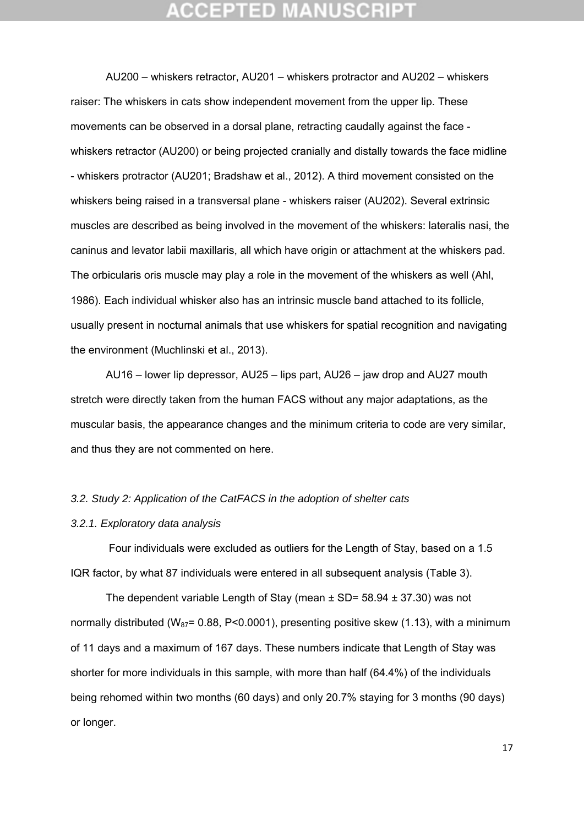AU200 – whiskers retractor, AU201 – whiskers protractor and AU202 – whiskers raiser: The whiskers in cats show independent movement from the upper lip. These movements can be observed in a dorsal plane, retracting caudally against the face whiskers retractor (AU200) or being projected cranially and distally towards the face midline - whiskers protractor (AU201; Bradshaw et al., 2012). A third movement consisted on the whiskers being raised in a transversal plane - whiskers raiser (AU202). Several extrinsic muscles are described as being involved in the movement of the whiskers: lateralis nasi, the caninus and levator labii maxillaris, all which have origin or attachment at the whiskers pad. The orbicularis oris muscle may play a role in the movement of the whiskers as well (Ahl, 1986). Each individual whisker also has an intrinsic muscle band attached to its follicle, usually present in nocturnal animals that use whiskers for spatial recognition and navigating the environment (Muchlinski et al., 2013).

AU16 – lower lip depressor, AU25 – lips part, AU26 – jaw drop and AU27 mouth stretch were directly taken from the human FACS without any major adaptations, as the muscular basis, the appearance changes and the minimum criteria to code are very similar, and thus they are not commented on here.

#### *3.2. Study 2: Application of the CatFACS in the adoption of shelter cats*

#### *3.2.1. Exploratory data analysis*

 Four individuals were excluded as outliers for the Length of Stay, based on a 1.5 IQR factor, by what 87 individuals were entered in all subsequent analysis (Table 3).

The dependent variable Length of Stay (mean  $\pm$  SD= 58.94  $\pm$  37.30) was not normally distributed (W<sub>87</sub>= 0.88, P<0.0001), presenting positive skew (1.13), with a minimum of 11 days and a maximum of 167 days. These numbers indicate that Length of Stay was shorter for more individuals in this sample, with more than half (64.4%) of the individuals being rehomed within two months (60 days) and only 20.7% staying for 3 months (90 days) or longer.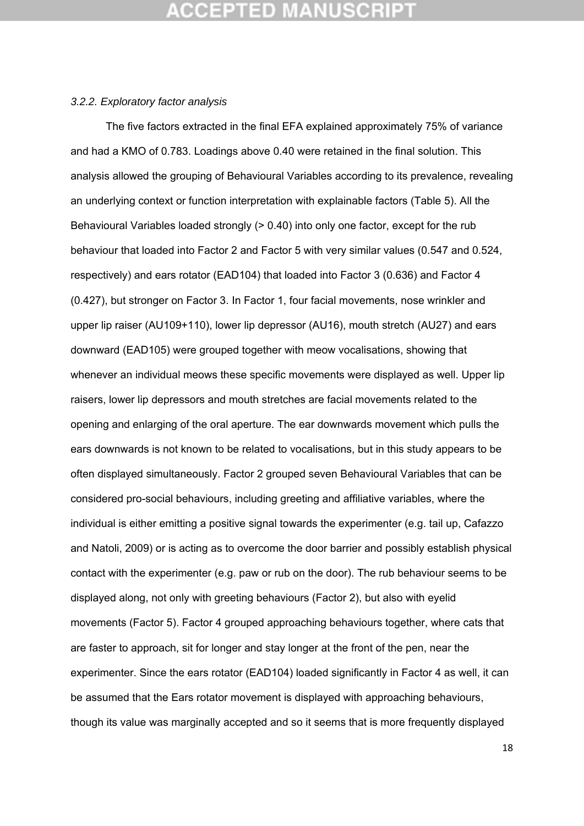## :CEPTED M

#### *3.2.2. Exploratory factor analysis*

The five factors extracted in the final EFA explained approximately 75% of variance and had a KMO of 0.783. Loadings above 0.40 were retained in the final solution. This analysis allowed the grouping of Behavioural Variables according to its prevalence, revealing an underlying context or function interpretation with explainable factors (Table 5). All the Behavioural Variables loaded strongly (> 0.40) into only one factor, except for the rub behaviour that loaded into Factor 2 and Factor 5 with very similar values (0.547 and 0.524, respectively) and ears rotator (EAD104) that loaded into Factor 3 (0.636) and Factor 4 (0.427), but stronger on Factor 3. In Factor 1, four facial movements, nose wrinkler and upper lip raiser (AU109+110), lower lip depressor (AU16), mouth stretch (AU27) and ears downward (EAD105) were grouped together with meow vocalisations, showing that whenever an individual meows these specific movements were displayed as well. Upper lip raisers, lower lip depressors and mouth stretches are facial movements related to the opening and enlarging of the oral aperture. The ear downwards movement which pulls the ears downwards is not known to be related to vocalisations, but in this study appears to be often displayed simultaneously. Factor 2 grouped seven Behavioural Variables that can be considered pro-social behaviours, including greeting and affiliative variables, where the individual is either emitting a positive signal towards the experimenter (e.g. tail up, Cafazzo and Natoli, 2009) or is acting as to overcome the door barrier and possibly establish physical contact with the experimenter (e.g. paw or rub on the door). The rub behaviour seems to be displayed along, not only with greeting behaviours (Factor 2), but also with eyelid movements (Factor 5). Factor 4 grouped approaching behaviours together, where cats that are faster to approach, sit for longer and stay longer at the front of the pen, near the experimenter. Since the ears rotator (EAD104) loaded significantly in Factor 4 as well, it can be assumed that the Ears rotator movement is displayed with approaching behaviours, though its value was marginally accepted and so it seems that is more frequently displayed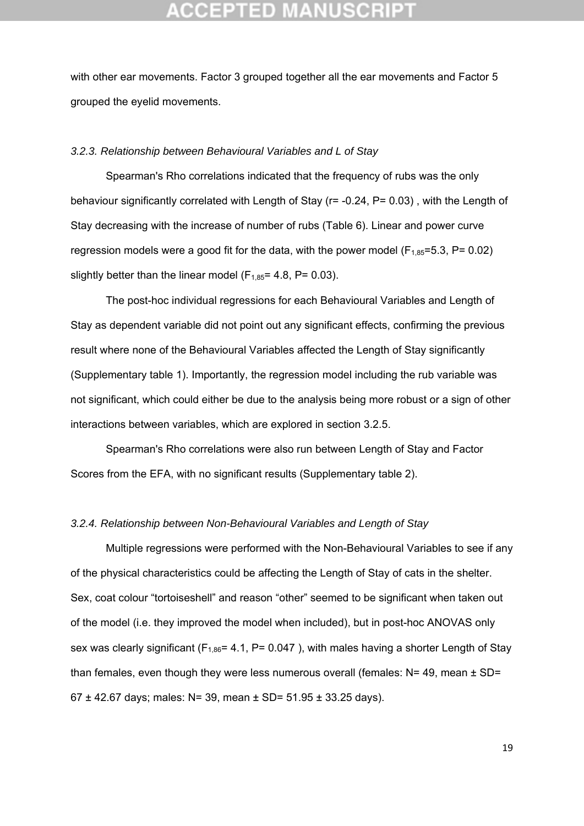with other ear movements. Factor 3 grouped together all the ear movements and Factor 5 grouped the eyelid movements.

#### *3.2.3. Relationship between Behavioural Variables and L of Stay*

Spearman's Rho correlations indicated that the frequency of rubs was the only behaviour significantly correlated with Length of Stay (r= -0.24, P= 0.03) , with the Length of Stay decreasing with the increase of number of rubs (Table 6). Linear and power curve regression models were a good fit for the data, with the power model ( $F_{1,85}=5.3$ ,  $P= 0.02$ ) slightly better than the linear model ( $F_{1,85}$ = 4.8, P= 0.03).

The post-hoc individual regressions for each Behavioural Variables and Length of Stay as dependent variable did not point out any significant effects, confirming the previous result where none of the Behavioural Variables affected the Length of Stay significantly (Supplementary table 1). Importantly, the regression model including the rub variable was not significant, which could either be due to the analysis being more robust or a sign of other interactions between variables, which are explored in section 3.2.5.

Spearman's Rho correlations were also run between Length of Stay and Factor Scores from the EFA, with no significant results (Supplementary table 2).

#### *3.2.4. Relationship between Non-Behavioural Variables and Length of Stay*

Multiple regressions were performed with the Non-Behavioural Variables to see if any of the physical characteristics could be affecting the Length of Stay of cats in the shelter. Sex, coat colour "tortoiseshell" and reason "other" seemed to be significant when taken out of the model (i.e. they improved the model when included), but in post-hoc ANOVAS only sex was clearly significant ( $F_{1,86}$ = 4.1, P= 0.047), with males having a shorter Length of Stay than females, even though they were less numerous overall (females:  $N = 49$ , mean  $\pm$  SD= 67 ± 42.67 days; males: N= 39, mean ± SD=  $51.95 \pm 33.25$  days).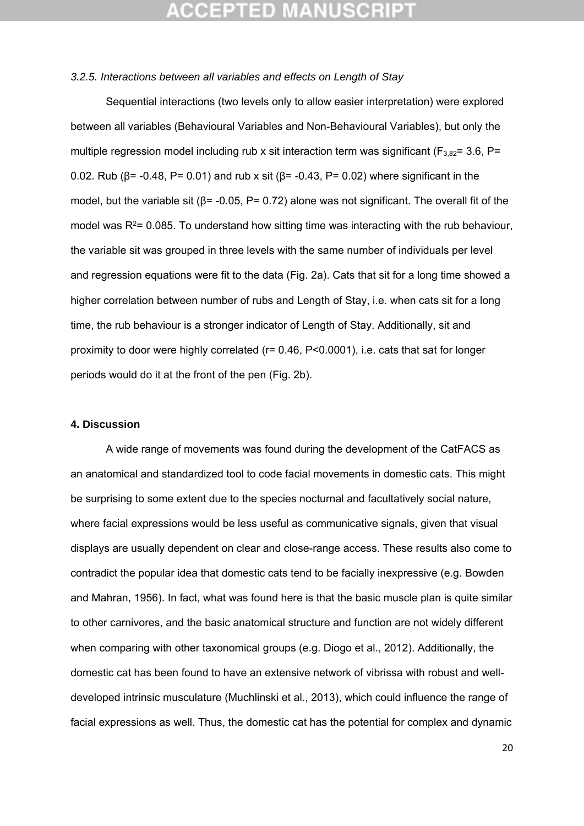#### *3.2.5. Interactions between all variables and effects on Length of Stay*

Sequential interactions (two levels only to allow easier interpretation) were explored between all variables (Behavioural Variables and Non-Behavioural Variables), but only the multiple regression model including rub x sit interaction term was significant ( $F_{3,82}=3.6$ , P= 0.02. Rub ( $β = -0.48$ , P= 0.01) and rub x sit ( $β = -0.43$ , P= 0.02) where significant in the model, but the variable sit ( $\beta$ = -0.05, P= 0.72) alone was not significant. The overall fit of the model was  $R<sup>2</sup>= 0.085$ . To understand how sitting time was interacting with the rub behaviour, the variable sit was grouped in three levels with the same number of individuals per level and regression equations were fit to the data (Fig. 2a). Cats that sit for a long time showed a higher correlation between number of rubs and Length of Stay, i.e. when cats sit for a long time, the rub behaviour is a stronger indicator of Length of Stay. Additionally, sit and proximity to door were highly correlated (r= 0.46, P<0.0001), i.e. cats that sat for longer periods would do it at the front of the pen (Fig. 2b).

### **4. Discussion**

 A wide range of movements was found during the development of the CatFACS as an anatomical and standardized tool to code facial movements in domestic cats. This might be surprising to some extent due to the species nocturnal and facultatively social nature, where facial expressions would be less useful as communicative signals, given that visual displays are usually dependent on clear and close-range access. These results also come to contradict the popular idea that domestic cats tend to be facially inexpressive (e.g. Bowden and Mahran, 1956). In fact, what was found here is that the basic muscle plan is quite similar to other carnivores, and the basic anatomical structure and function are not widely different when comparing with other taxonomical groups (e.g. Diogo et al., 2012). Additionally, the domestic cat has been found to have an extensive network of vibrissa with robust and welldeveloped intrinsic musculature (Muchlinski et al., 2013), which could influence the range of facial expressions as well. Thus, the domestic cat has the potential for complex and dynamic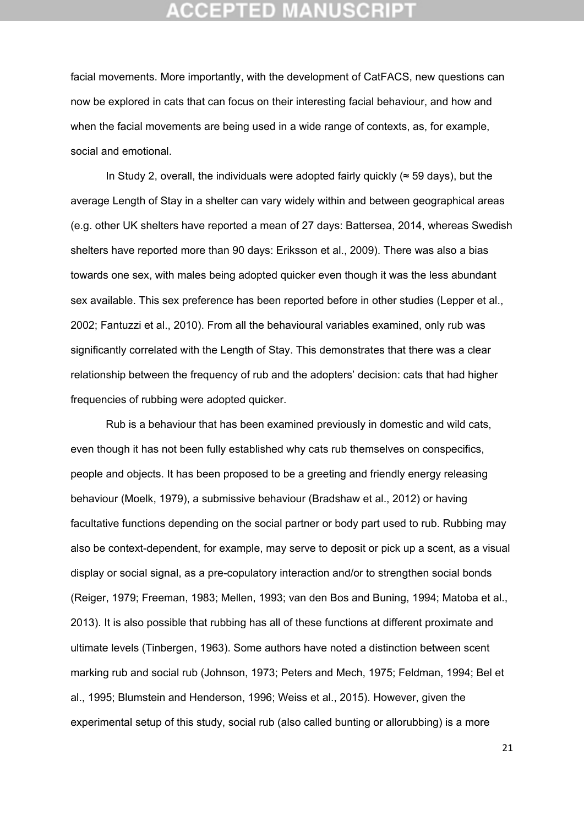facial movements. More importantly, with the development of CatFACS, new questions can now be explored in cats that can focus on their interesting facial behaviour, and how and when the facial movements are being used in a wide range of contexts, as, for example, social and emotional.

In Study 2, overall, the individuals were adopted fairly quickly ( $\approx$  59 days), but the average Length of Stay in a shelter can vary widely within and between geographical areas (e.g. other UK shelters have reported a mean of 27 days: Battersea, 2014, whereas Swedish shelters have reported more than 90 days: Eriksson et al., 2009). There was also a bias towards one sex, with males being adopted quicker even though it was the less abundant sex available. This sex preference has been reported before in other studies (Lepper et al., 2002; Fantuzzi et al., 2010). From all the behavioural variables examined, only rub was significantly correlated with the Length of Stay. This demonstrates that there was a clear relationship between the frequency of rub and the adopters' decision: cats that had higher frequencies of rubbing were adopted quicker.

 Rub is a behaviour that has been examined previously in domestic and wild cats, even though it has not been fully established why cats rub themselves on conspecifics, people and objects. It has been proposed to be a greeting and friendly energy releasing behaviour (Moelk, 1979), a submissive behaviour (Bradshaw et al., 2012) or having facultative functions depending on the social partner or body part used to rub. Rubbing may also be context-dependent, for example, may serve to deposit or pick up a scent, as a visual display or social signal, as a pre-copulatory interaction and/or to strengthen social bonds (Reiger, 1979; Freeman, 1983; Mellen, 1993; van den Bos and Buning, 1994; Matoba et al., 2013). It is also possible that rubbing has all of these functions at different proximate and ultimate levels (Tinbergen, 1963). Some authors have noted a distinction between scent marking rub and social rub (Johnson, 1973; Peters and Mech, 1975; Feldman, 1994; Bel et al., 1995; Blumstein and Henderson, 1996; Weiss et al., 2015). However, given the experimental setup of this study, social rub (also called bunting or allorubbing) is a more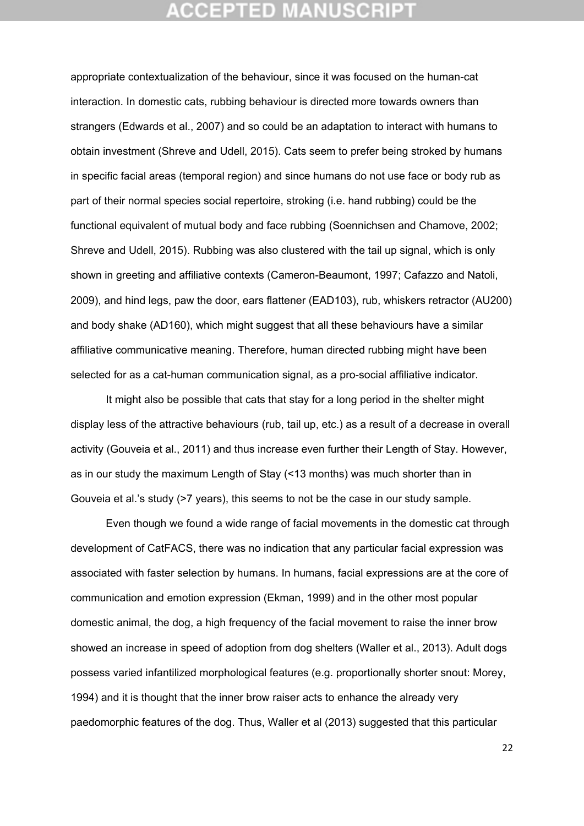appropriate contextualization of the behaviour, since it was focused on the human-cat interaction. In domestic cats, rubbing behaviour is directed more towards owners than strangers (Edwards et al., 2007) and so could be an adaptation to interact with humans to obtain investment (Shreve and Udell, 2015). Cats seem to prefer being stroked by humans in specific facial areas (temporal region) and since humans do not use face or body rub as part of their normal species social repertoire, stroking (i.e. hand rubbing) could be the functional equivalent of mutual body and face rubbing (Soennichsen and Chamove, 2002; Shreve and Udell, 2015). Rubbing was also clustered with the tail up signal, which is only shown in greeting and affiliative contexts (Cameron-Beaumont, 1997; Cafazzo and Natoli, 2009), and hind legs, paw the door, ears flattener (EAD103), rub, whiskers retractor (AU200) and body shake (AD160), which might suggest that all these behaviours have a similar affiliative communicative meaning. Therefore, human directed rubbing might have been selected for as a cat-human communication signal, as a pro-social affiliative indicator.

It might also be possible that cats that stay for a long period in the shelter might display less of the attractive behaviours (rub, tail up, etc.) as a result of a decrease in overall activity (Gouveia et al., 2011) and thus increase even further their Length of Stay. However, as in our study the maximum Length of Stay (<13 months) was much shorter than in Gouveia et al.'s study (>7 years), this seems to not be the case in our study sample.

 Even though we found a wide range of facial movements in the domestic cat through development of CatFACS, there was no indication that any particular facial expression was associated with faster selection by humans. In humans, facial expressions are at the core of communication and emotion expression (Ekman, 1999) and in the other most popular domestic animal, the dog, a high frequency of the facial movement to raise the inner brow showed an increase in speed of adoption from dog shelters (Waller et al., 2013). Adult dogs possess varied infantilized morphological features (e.g. proportionally shorter snout: Morey, 1994) and it is thought that the inner brow raiser acts to enhance the already very paedomorphic features of the dog. Thus, Waller et al (2013) suggested that this particular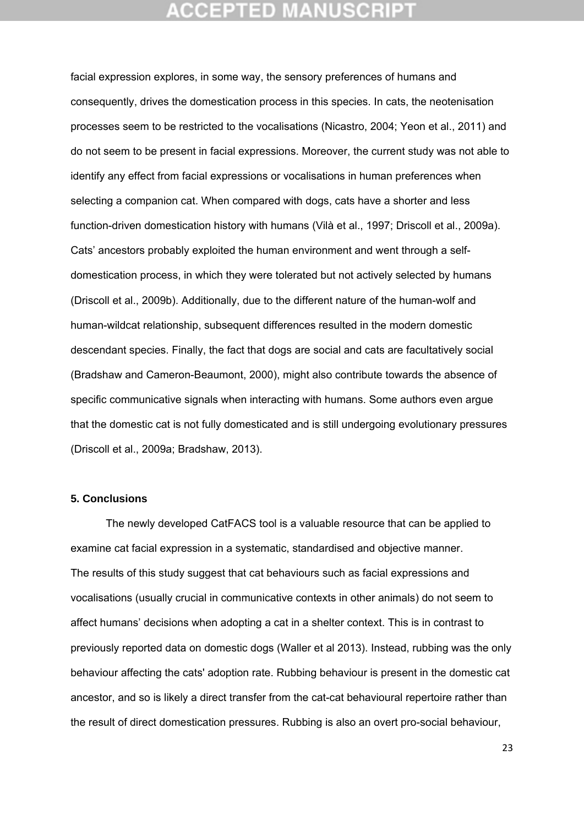facial expression explores, in some way, the sensory preferences of humans and consequently, drives the domestication process in this species. In cats, the neotenisation processes seem to be restricted to the vocalisations (Nicastro, 2004; Yeon et al., 2011) and do not seem to be present in facial expressions. Moreover, the current study was not able to identify any effect from facial expressions or vocalisations in human preferences when selecting a companion cat. When compared with dogs, cats have a shorter and less function-driven domestication history with humans (Vilà et al., 1997; Driscoll et al., 2009a). Cats' ancestors probably exploited the human environment and went through a selfdomestication process, in which they were tolerated but not actively selected by humans (Driscoll et al., 2009b). Additionally, due to the different nature of the human-wolf and human-wildcat relationship, subsequent differences resulted in the modern domestic descendant species. Finally, the fact that dogs are social and cats are facultatively social (Bradshaw and Cameron-Beaumont, 2000), might also contribute towards the absence of specific communicative signals when interacting with humans. Some authors even argue that the domestic cat is not fully domesticated and is still undergoing evolutionary pressures (Driscoll et al., 2009a; Bradshaw, 2013).

### **5. Conclusions**

 The newly developed CatFACS tool is a valuable resource that can be applied to examine cat facial expression in a systematic, standardised and objective manner. The results of this study suggest that cat behaviours such as facial expressions and vocalisations (usually crucial in communicative contexts in other animals) do not seem to affect humans' decisions when adopting a cat in a shelter context. This is in contrast to previously reported data on domestic dogs (Waller et al 2013). Instead, rubbing was the only behaviour affecting the cats' adoption rate. Rubbing behaviour is present in the domestic cat ancestor, and so is likely a direct transfer from the cat-cat behavioural repertoire rather than the result of direct domestication pressures. Rubbing is also an overt pro-social behaviour,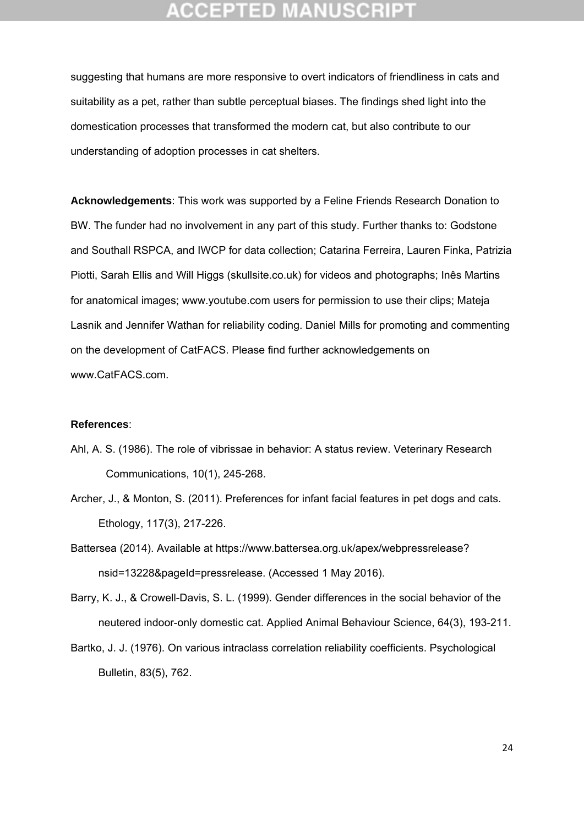suggesting that humans are more responsive to overt indicators of friendliness in cats and suitability as a pet, rather than subtle perceptual biases. The findings shed light into the domestication processes that transformed the modern cat, but also contribute to our understanding of adoption processes in cat shelters.

**Acknowledgements**: This work was supported by a Feline Friends Research Donation to BW. The funder had no involvement in any part of this study. Further thanks to: Godstone and Southall RSPCA, and IWCP for data collection; Catarina Ferreira, Lauren Finka, Patrizia Piotti, Sarah Ellis and Will Higgs (skullsite.co.uk) for videos and photographs; Inês Martins for anatomical images; www.youtube.com users for permission to use their clips; Mateja Lasnik and Jennifer Wathan for reliability coding. Daniel Mills for promoting and commenting on the development of CatFACS. Please find further acknowledgements on www.CatFACS.com.

### **References**:

- Ahl, A. S. (1986). The role of vibrissae in behavior: A status review. Veterinary Research Communications, 10(1), 245-268.
- Archer, J., & Monton, S. (2011). Preferences for infant facial features in pet dogs and cats. Ethology, 117(3), 217-226.
- Battersea (2014). Available at https://www.battersea.org.uk/apex/webpressrelease? nsid=13228&pageId=pressrelease. (Accessed 1 May 2016).
- Barry, K. J., & Crowell-Davis, S. L. (1999). Gender differences in the social behavior of the neutered indoor-only domestic cat. Applied Animal Behaviour Science, 64(3), 193-211.
- Bartko, J. J. (1976). On various intraclass correlation reliability coefficients. Psychological Bulletin, 83(5), 762.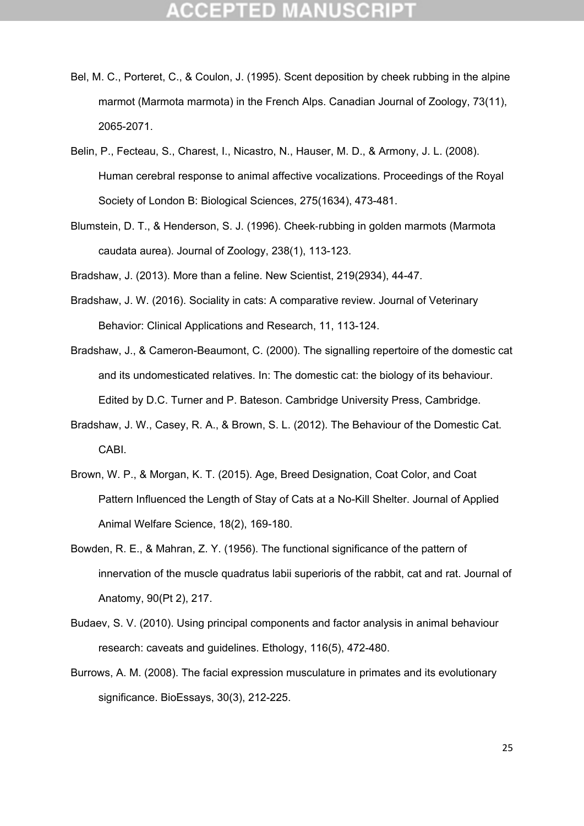- Bel, M. C., Porteret, C., & Coulon, J. (1995). Scent deposition by cheek rubbing in the alpine marmot (Marmota marmota) in the French Alps. Canadian Journal of Zoology, 73(11), 2065-2071.
- Belin, P., Fecteau, S., Charest, I., Nicastro, N., Hauser, M. D., & Armony, J. L. (2008). Human cerebral response to animal affective vocalizations. Proceedings of the Royal Society of London B: Biological Sciences, 275(1634), 473-481.
- Blumstein, D. T., & Henderson, S. J. (1996). Cheek‐rubbing in golden marmots (Marmota caudata aurea). Journal of Zoology, 238(1), 113-123.

Bradshaw, J. (2013). More than a feline. New Scientist, 219(2934), 44-47.

- Bradshaw, J. W. (2016). Sociality in cats: A comparative review. Journal of Veterinary Behavior: Clinical Applications and Research, 11, 113-124.
- Bradshaw, J., & Cameron-Beaumont, C. (2000). The signalling repertoire of the domestic cat and its undomesticated relatives. In: The domestic cat: the biology of its behaviour. Edited by D.C. Turner and P. Bateson. Cambridge University Press, Cambridge.
- Bradshaw, J. W., Casey, R. A., & Brown, S. L. (2012). The Behaviour of the Domestic Cat. CABI.
- Brown, W. P., & Morgan, K. T. (2015). Age, Breed Designation, Coat Color, and Coat Pattern Influenced the Length of Stay of Cats at a No-Kill Shelter. Journal of Applied Animal Welfare Science, 18(2), 169-180.
- Bowden, R. E., & Mahran, Z. Y. (1956). The functional significance of the pattern of innervation of the muscle quadratus labii superioris of the rabbit, cat and rat. Journal of Anatomy, 90(Pt 2), 217.
- Budaev, S. V. (2010). Using principal components and factor analysis in animal behaviour research: caveats and guidelines. Ethology, 116(5), 472-480.
- Burrows, A. M. (2008). The facial expression musculature in primates and its evolutionary significance. BioEssays, 30(3), 212-225.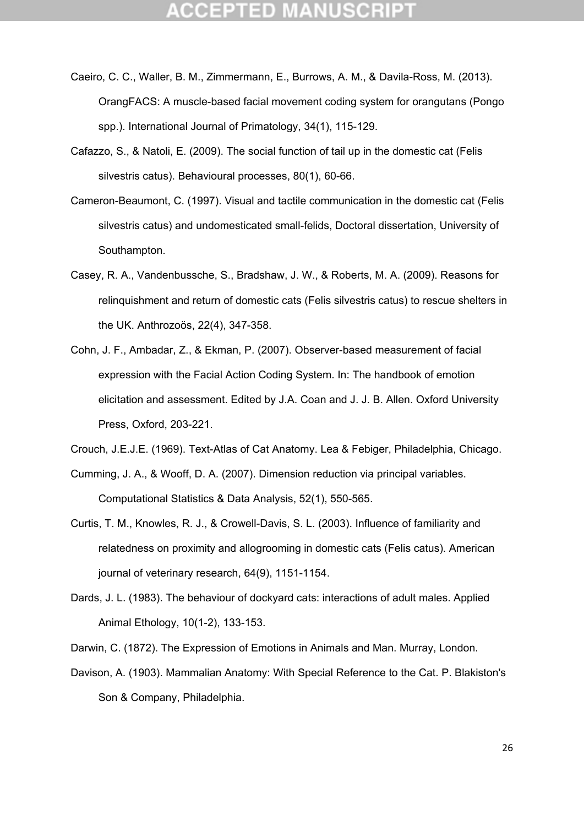- Caeiro, C. C., Waller, B. M., Zimmermann, E., Burrows, A. M., & Davila-Ross, M. (2013). OrangFACS: A muscle-based facial movement coding system for orangutans (Pongo spp.). International Journal of Primatology, 34(1), 115-129.
- Cafazzo, S., & Natoli, E. (2009). The social function of tail up in the domestic cat (Felis silvestris catus). Behavioural processes, 80(1), 60-66.
- Cameron-Beaumont, C. (1997). Visual and tactile communication in the domestic cat (Felis silvestris catus) and undomesticated small-felids, Doctoral dissertation, University of Southampton.
- Casey, R. A., Vandenbussche, S., Bradshaw, J. W., & Roberts, M. A. (2009). Reasons for relinquishment and return of domestic cats (Felis silvestris catus) to rescue shelters in the UK. Anthrozoös, 22(4), 347-358.
- Cohn, J. F., Ambadar, Z., & Ekman, P. (2007). Observer-based measurement of facial expression with the Facial Action Coding System. In: The handbook of emotion elicitation and assessment. Edited by J.A. Coan and J. J. B. Allen. Oxford University Press, Oxford, 203-221.
- Crouch, J.E.J.E. (1969). Text-Atlas of Cat Anatomy. Lea & Febiger, Philadelphia, Chicago.
- Cumming, J. A., & Wooff, D. A. (2007). Dimension reduction via principal variables. Computational Statistics & Data Analysis, 52(1), 550-565.
- Curtis, T. M., Knowles, R. J., & Crowell-Davis, S. L. (2003). Influence of familiarity and relatedness on proximity and allogrooming in domestic cats (Felis catus). American journal of veterinary research, 64(9), 1151-1154.
- Dards, J. L. (1983). The behaviour of dockyard cats: interactions of adult males. Applied Animal Ethology, 10(1-2), 133-153.

Darwin, C. (1872). The Expression of Emotions in Animals and Man. Murray, London.

Davison, A. (1903). Mammalian Anatomy: With Special Reference to the Cat. P. Blakiston's Son & Company, Philadelphia.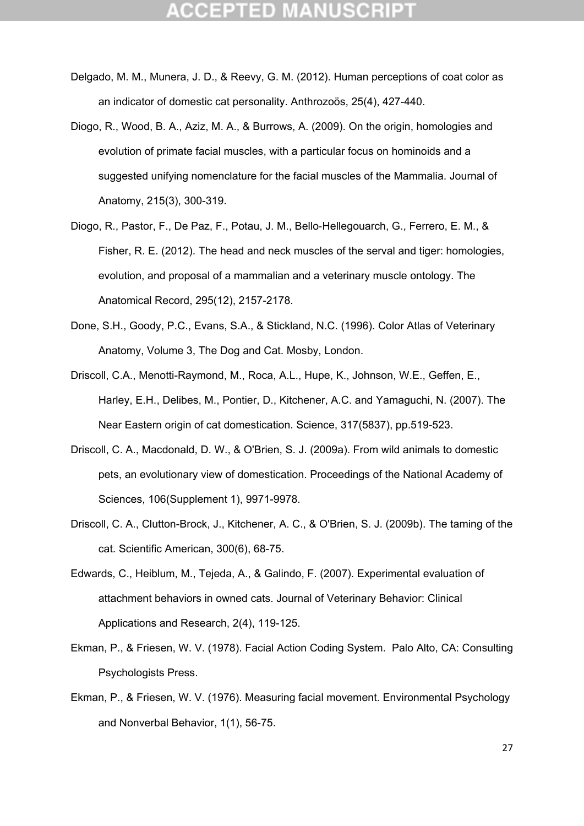- Delgado, M. M., Munera, J. D., & Reevy, G. M. (2012). Human perceptions of coat color as an indicator of domestic cat personality. Anthrozoös, 25(4), 427-440.
- Diogo, R., Wood, B. A., Aziz, M. A., & Burrows, A. (2009). On the origin, homologies and evolution of primate facial muscles, with a particular focus on hominoids and a suggested unifying nomenclature for the facial muscles of the Mammalia. Journal of Anatomy, 215(3), 300-319.
- Diogo, R., Pastor, F., De Paz, F., Potau, J. M., Bello‐Hellegouarch, G., Ferrero, E. M., & Fisher, R. E. (2012). The head and neck muscles of the serval and tiger: homologies, evolution, and proposal of a mammalian and a veterinary muscle ontology. The Anatomical Record, 295(12), 2157-2178.
- Done, S.H., Goody, P.C., Evans, S.A., & Stickland, N.C. (1996). Color Atlas of Veterinary Anatomy, Volume 3, The Dog and Cat. Mosby, London.
- Driscoll, C.A., Menotti-Raymond, M., Roca, A.L., Hupe, K., Johnson, W.E., Geffen, E., Harley, E.H., Delibes, M., Pontier, D., Kitchener, A.C. and Yamaguchi, N. (2007). The Near Eastern origin of cat domestication. Science, 317(5837), pp.519-523.
- Driscoll, C. A., Macdonald, D. W., & O'Brien, S. J. (2009a). From wild animals to domestic pets, an evolutionary view of domestication. Proceedings of the National Academy of Sciences, 106(Supplement 1), 9971-9978.
- Driscoll, C. A., Clutton-Brock, J., Kitchener, A. C., & O'Brien, S. J. (2009b). The taming of the cat. Scientific American, 300(6), 68-75.
- Edwards, C., Heiblum, M., Tejeda, A., & Galindo, F. (2007). Experimental evaluation of attachment behaviors in owned cats. Journal of Veterinary Behavior: Clinical Applications and Research, 2(4), 119-125.
- Ekman, P., & Friesen, W. V. (1978). Facial Action Coding System. Palo Alto, CA: Consulting Psychologists Press.
- Ekman, P., & Friesen, W. V. (1976). Measuring facial movement. Environmental Psychology and Nonverbal Behavior, 1(1), 56-75.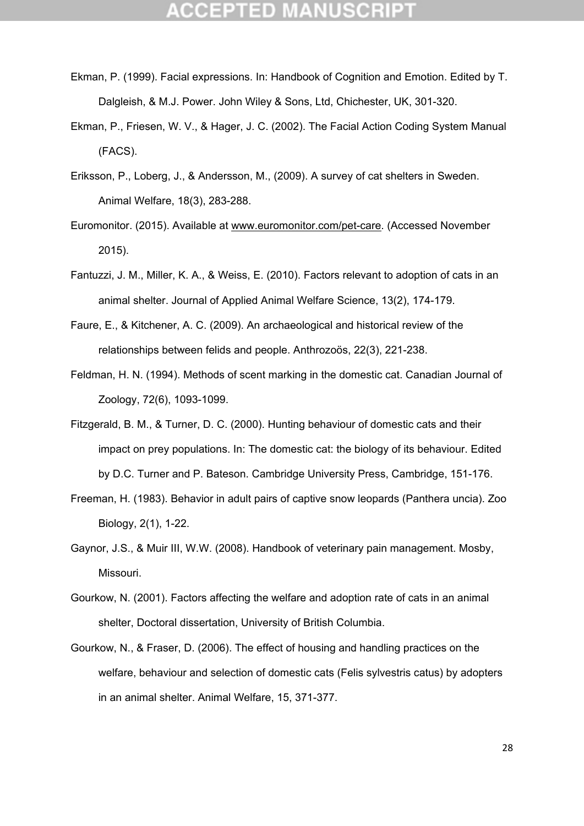- Ekman, P. (1999). Facial expressions. In: Handbook of Cognition and Emotion. Edited by T. Dalgleish, & M.J. Power. John Wiley & Sons, Ltd, Chichester, UK, 301-320.
- Ekman, P., Friesen, W. V., & Hager, J. C. (2002). The Facial Action Coding System Manual (FACS).
- Eriksson, P., Loberg, J., & Andersson, M., (2009). A survey of cat shelters in Sweden. Animal Welfare, 18(3), 283-288.
- Euromonitor. (2015). Available at www.euromonitor.com/pet-care. (Accessed November 2015).
- Fantuzzi, J. M., Miller, K. A., & Weiss, E. (2010). Factors relevant to adoption of cats in an animal shelter. Journal of Applied Animal Welfare Science, 13(2), 174-179.
- Faure, E., & Kitchener, A. C. (2009). An archaeological and historical review of the relationships between felids and people. Anthrozoös, 22(3), 221-238.
- Feldman, H. N. (1994). Methods of scent marking in the domestic cat. Canadian Journal of Zoology, 72(6), 1093-1099.
- Fitzgerald, B. M., & Turner, D. C. (2000). Hunting behaviour of domestic cats and their impact on prey populations. In: The domestic cat: the biology of its behaviour. Edited by D.C. Turner and P. Bateson. Cambridge University Press, Cambridge, 151-176.
- Freeman, H. (1983). Behavior in adult pairs of captive snow leopards (Panthera uncia). Zoo Biology, 2(1), 1-22.
- Gaynor, J.S., & Muir III, W.W. (2008). Handbook of veterinary pain management. Mosby, Missouri.
- Gourkow, N. (2001). Factors affecting the welfare and adoption rate of cats in an animal shelter, Doctoral dissertation, University of British Columbia.
- Gourkow, N., & Fraser, D. (2006). The effect of housing and handling practices on the welfare, behaviour and selection of domestic cats (Felis sylvestris catus) by adopters in an animal shelter. Animal Welfare, 15, 371-377.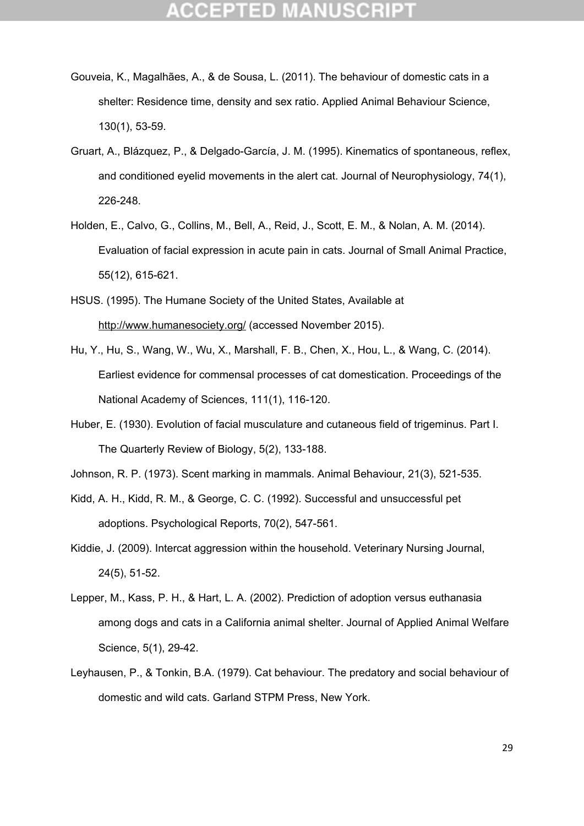- Gouveia, K., Magalhães, A., & de Sousa, L. (2011). The behaviour of domestic cats in a shelter: Residence time, density and sex ratio. Applied Animal Behaviour Science, 130(1), 53-59.
- Gruart, A., Blázquez, P., & Delgado-García, J. M. (1995). Kinematics of spontaneous, reflex, and conditioned eyelid movements in the alert cat. Journal of Neurophysiology, 74(1), 226-248.
- Holden, E., Calvo, G., Collins, M., Bell, A., Reid, J., Scott, E. M., & Nolan, A. M. (2014). Evaluation of facial expression in acute pain in cats. Journal of Small Animal Practice, 55(12), 615-621.
- HSUS. (1995). The Humane Society of the United States, Available at http://www.humanesociety.org/ (accessed November 2015).
- Hu, Y., Hu, S., Wang, W., Wu, X., Marshall, F. B., Chen, X., Hou, L., & Wang, C. (2014). Earliest evidence for commensal processes of cat domestication. Proceedings of the National Academy of Sciences, 111(1), 116-120.
- Huber, E. (1930). Evolution of facial musculature and cutaneous field of trigeminus. Part I. The Quarterly Review of Biology, 5(2), 133-188.

Johnson, R. P. (1973). Scent marking in mammals. Animal Behaviour, 21(3), 521-535.

- Kidd, A. H., Kidd, R. M., & George, C. C. (1992). Successful and unsuccessful pet adoptions. Psychological Reports, 70(2), 547-561.
- Kiddie, J. (2009). Intercat aggression within the household. Veterinary Nursing Journal, 24(5), 51-52.
- Lepper, M., Kass, P. H., & Hart, L. A. (2002). Prediction of adoption versus euthanasia among dogs and cats in a California animal shelter. Journal of Applied Animal Welfare Science, 5(1), 29-42.
- Leyhausen, P., & Tonkin, B.A. (1979). Cat behaviour. The predatory and social behaviour of domestic and wild cats. Garland STPM Press, New York.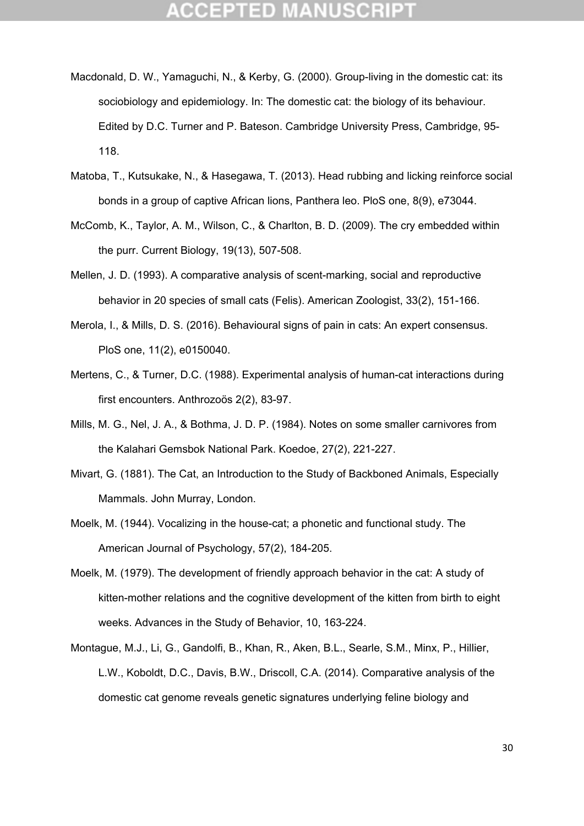- Macdonald, D. W., Yamaguchi, N., & Kerby, G. (2000). Group-living in the domestic cat: its sociobiology and epidemiology. In: The domestic cat: the biology of its behaviour. Edited by D.C. Turner and P. Bateson. Cambridge University Press, Cambridge, 95- 118.
- Matoba, T., Kutsukake, N., & Hasegawa, T. (2013). Head rubbing and licking reinforce social bonds in a group of captive African lions, Panthera leo. PloS one, 8(9), e73044.
- McComb, K., Taylor, A. M., Wilson, C., & Charlton, B. D. (2009). The cry embedded within the purr. Current Biology, 19(13), 507-508.
- Mellen, J. D. (1993). A comparative analysis of scent-marking, social and reproductive behavior in 20 species of small cats (Felis). American Zoologist, 33(2), 151-166.
- Merola, I., & Mills, D. S. (2016). Behavioural signs of pain in cats: An expert consensus. PloS one, 11(2), e0150040.
- Mertens, C., & Turner, D.C. (1988). Experimental analysis of human-cat interactions during first encounters. Anthrozoös 2(2), 83-97.
- Mills, M. G., Nel, J. A., & Bothma, J. D. P. (1984). Notes on some smaller carnivores from the Kalahari Gemsbok National Park. Koedoe, 27(2), 221-227.
- Mivart, G. (1881). The Cat, an Introduction to the Study of Backboned Animals, Especially Mammals. John Murray, London.
- Moelk, M. (1944). Vocalizing in the house-cat; a phonetic and functional study. The American Journal of Psychology, 57(2), 184-205.
- Moelk, M. (1979). The development of friendly approach behavior in the cat: A study of kitten-mother relations and the cognitive development of the kitten from birth to eight weeks. Advances in the Study of Behavior, 10, 163-224.
- Montague, M.J., Li, G., Gandolfi, B., Khan, R., Aken, B.L., Searle, S.M., Minx, P., Hillier, L.W., Koboldt, D.C., Davis, B.W., Driscoll, C.A. (2014). Comparative analysis of the domestic cat genome reveals genetic signatures underlying feline biology and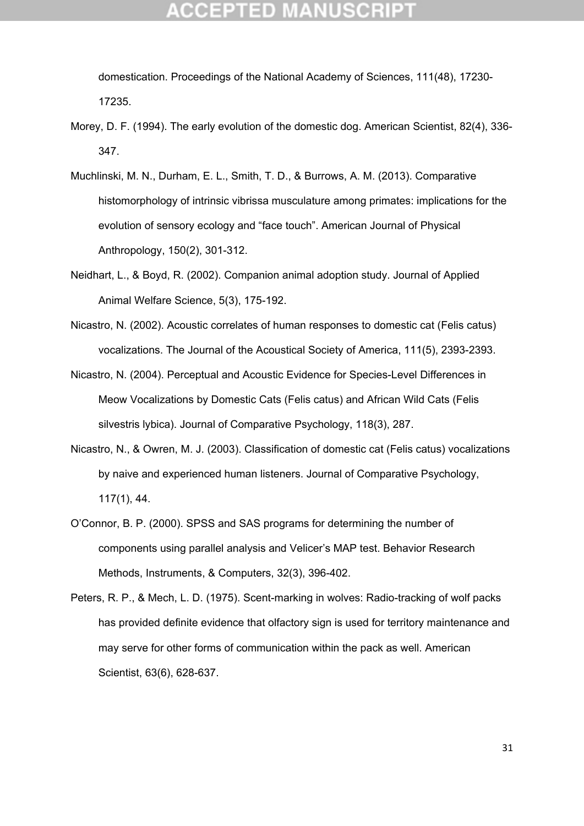domestication. Proceedings of the National Academy of Sciences, 111(48), 17230- 17235.

- Morey, D. F. (1994). The early evolution of the domestic dog. American Scientist, 82(4), 336- 347.
- Muchlinski, M. N., Durham, E. L., Smith, T. D., & Burrows, A. M. (2013). Comparative histomorphology of intrinsic vibrissa musculature among primates: implications for the evolution of sensory ecology and "face touch". American Journal of Physical Anthropology, 150(2), 301-312.
- Neidhart, L., & Boyd, R. (2002). Companion animal adoption study. Journal of Applied Animal Welfare Science, 5(3), 175-192.
- Nicastro, N. (2002). Acoustic correlates of human responses to domestic cat (Felis catus) vocalizations. The Journal of the Acoustical Society of America, 111(5), 2393-2393.
- Nicastro, N. (2004). Perceptual and Acoustic Evidence for Species-Level Differences in Meow Vocalizations by Domestic Cats (Felis catus) and African Wild Cats (Felis silvestris lybica). Journal of Comparative Psychology, 118(3), 287.
- Nicastro, N., & Owren, M. J. (2003). Classification of domestic cat (Felis catus) vocalizations by naive and experienced human listeners. Journal of Comparative Psychology, 117(1), 44.
- O'Connor, B. P. (2000). SPSS and SAS programs for determining the number of components using parallel analysis and Velicer's MAP test. Behavior Research Methods, Instruments, & Computers, 32(3), 396-402.
- Peters, R. P., & Mech, L. D. (1975). Scent-marking in wolves: Radio-tracking of wolf packs has provided definite evidence that olfactory sign is used for territory maintenance and may serve for other forms of communication within the pack as well. American Scientist, 63(6), 628-637.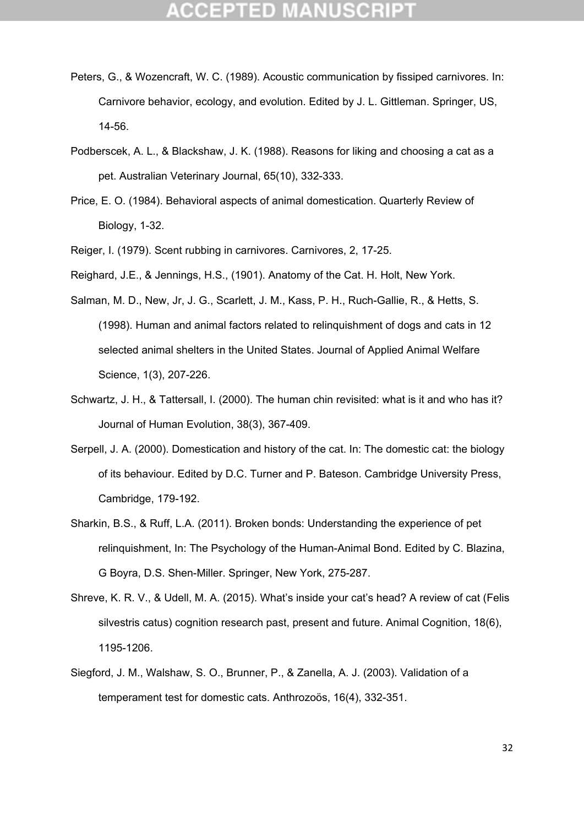- Peters, G., & Wozencraft, W. C. (1989). Acoustic communication by fissiped carnivores. In: Carnivore behavior, ecology, and evolution. Edited by J. L. Gittleman. Springer, US, 14-56.
- Podberscek, A. L., & Blackshaw, J. K. (1988). Reasons for liking and choosing a cat as a pet. Australian Veterinary Journal, 65(10), 332-333.
- Price, E. O. (1984). Behavioral aspects of animal domestication. Quarterly Review of Biology, 1-32.
- Reiger, I. (1979). Scent rubbing in carnivores. Carnivores, 2, 17-25.
- Reighard, J.E., & Jennings, H.S., (1901). Anatomy of the Cat. H. Holt, New York.
- Salman, M. D., New, Jr, J. G., Scarlett, J. M., Kass, P. H., Ruch-Gallie, R., & Hetts, S. (1998). Human and animal factors related to relinquishment of dogs and cats in 12 selected animal shelters in the United States. Journal of Applied Animal Welfare Science, 1(3), 207-226.
- Schwartz, J. H., & Tattersall, I. (2000). The human chin revisited: what is it and who has it? Journal of Human Evolution, 38(3), 367-409.
- Serpell, J. A. (2000). Domestication and history of the cat. In: The domestic cat: the biology of its behaviour. Edited by D.C. Turner and P. Bateson. Cambridge University Press, Cambridge, 179-192.
- Sharkin, B.S., & Ruff, L.A. (2011). Broken bonds: Understanding the experience of pet relinquishment, In: The Psychology of the Human-Animal Bond. Edited by C. Blazina, G Boyra, D.S. Shen-Miller. Springer, New York, 275-287.
- Shreve, K. R. V., & Udell, M. A. (2015). What's inside your cat's head? A review of cat (Felis silvestris catus) cognition research past, present and future. Animal Cognition, 18(6), 1195-1206.
- Siegford, J. M., Walshaw, S. O., Brunner, P., & Zanella, A. J. (2003). Validation of a temperament test for domestic cats. Anthrozoös, 16(4), 332-351.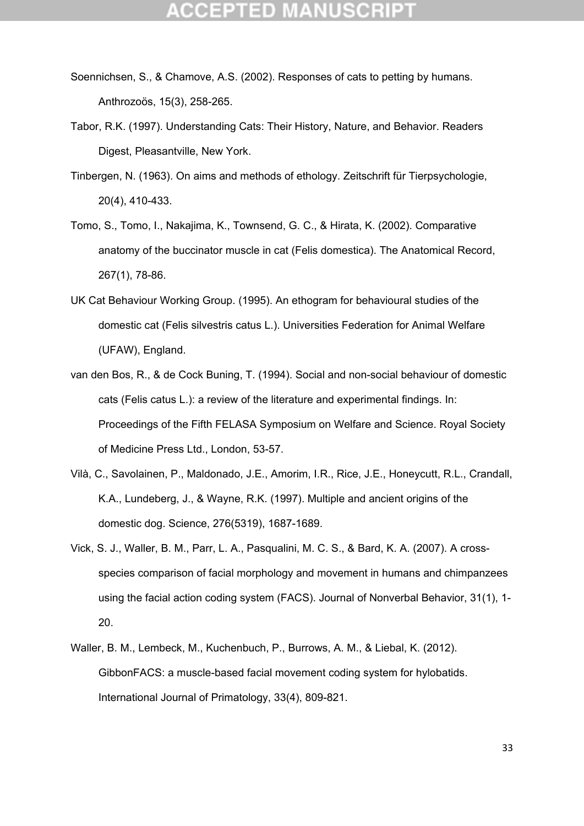- Soennichsen, S., & Chamove, A.S. (2002). Responses of cats to petting by humans. Anthrozoös, 15(3), 258-265.
- Tabor, R.K. (1997). Understanding Cats: Their History, Nature, and Behavior. Readers Digest, Pleasantville, New York.
- Tinbergen, N. (1963). On aims and methods of ethology. Zeitschrift für Tierpsychologie, 20(4), 410-433.
- Tomo, S., Tomo, I., Nakajima, K., Townsend, G. C., & Hirata, K. (2002). Comparative anatomy of the buccinator muscle in cat (Felis domestica). The Anatomical Record, 267(1), 78-86.
- UK Cat Behaviour Working Group. (1995). An ethogram for behavioural studies of the domestic cat (Felis silvestris catus L.). Universities Federation for Animal Welfare (UFAW), England.
- van den Bos, R., & de Cock Buning, T. (1994). Social and non-social behaviour of domestic cats (Felis catus L.): a review of the literature and experimental findings. In: Proceedings of the Fifth FELASA Symposium on Welfare and Science. Royal Society of Medicine Press Ltd., London, 53-57.
- Vilà, C., Savolainen, P., Maldonado, J.E., Amorim, I.R., Rice, J.E., Honeycutt, R.L., Crandall, K.A., Lundeberg, J., & Wayne, R.K. (1997). Multiple and ancient origins of the domestic dog. Science, 276(5319), 1687-1689.
- Vick, S. J., Waller, B. M., Parr, L. A., Pasqualini, M. C. S., & Bard, K. A. (2007). A crossspecies comparison of facial morphology and movement in humans and chimpanzees using the facial action coding system (FACS). Journal of Nonverbal Behavior, 31(1), 1- 20.
- Waller, B. M., Lembeck, M., Kuchenbuch, P., Burrows, A. M., & Liebal, K. (2012). GibbonFACS: a muscle-based facial movement coding system for hylobatids. International Journal of Primatology, 33(4), 809-821.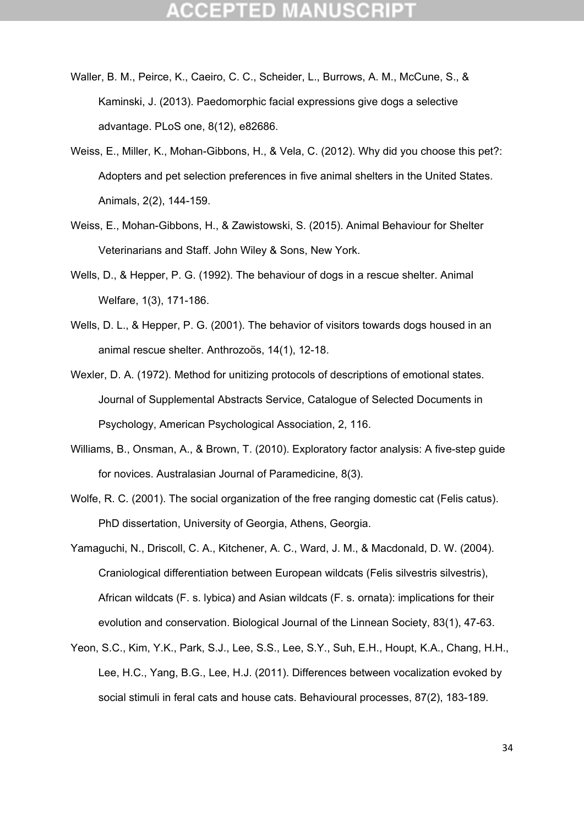- Waller, B. M., Peirce, K., Caeiro, C. C., Scheider, L., Burrows, A. M., McCune, S., & Kaminski, J. (2013). Paedomorphic facial expressions give dogs a selective advantage. PLoS one, 8(12), e82686.
- Weiss, E., Miller, K., Mohan-Gibbons, H., & Vela, C. (2012). Why did you choose this pet?: Adopters and pet selection preferences in five animal shelters in the United States. Animals, 2(2), 144-159.
- Weiss, E., Mohan-Gibbons, H., & Zawistowski, S. (2015). Animal Behaviour for Shelter Veterinarians and Staff. John Wiley & Sons, New York.
- Wells, D., & Hepper, P. G. (1992). The behaviour of dogs in a rescue shelter. Animal Welfare, 1(3), 171-186.
- Wells, D. L., & Hepper, P. G. (2001). The behavior of visitors towards dogs housed in an animal rescue shelter. Anthrozoös, 14(1), 12-18.
- Wexler, D. A. (1972). Method for unitizing protocols of descriptions of emotional states. Journal of Supplemental Abstracts Service, Catalogue of Selected Documents in Psychology, American Psychological Association, 2, 116.
- Williams, B., Onsman, A., & Brown, T. (2010). Exploratory factor analysis: A five-step guide for novices. Australasian Journal of Paramedicine, 8(3).
- Wolfe, R. C. (2001). The social organization of the free ranging domestic cat (Felis catus). PhD dissertation, University of Georgia, Athens, Georgia.
- Yamaguchi, N., Driscoll, C. A., Kitchener, A. C., Ward, J. M., & Macdonald, D. W. (2004). Craniological differentiation between European wildcats (Felis silvestris silvestris), African wildcats (F. s. lybica) and Asian wildcats (F. s. ornata): implications for their evolution and conservation. Biological Journal of the Linnean Society, 83(1), 47-63.
- Yeon, S.C., Kim, Y.K., Park, S.J., Lee, S.S., Lee, S.Y., Suh, E.H., Houpt, K.A., Chang, H.H., Lee, H.C., Yang, B.G., Lee, H.J. (2011). Differences between vocalization evoked by social stimuli in feral cats and house cats. Behavioural processes, 87(2), 183-189.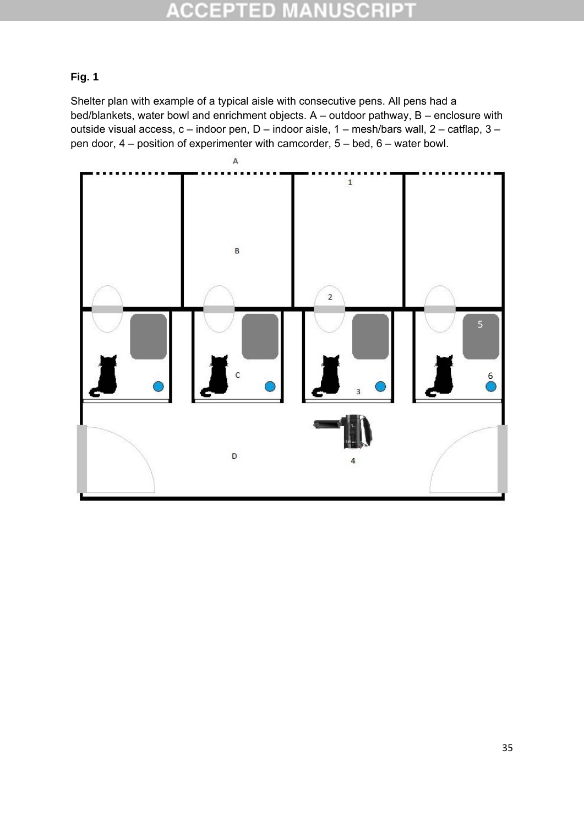#### E D CCEPTI SO. E

### **Fig. 1**

Shelter plan with example of a typical aisle with consecutive pens. All pens had a bed/blankets, water bowl and enrichment objects. A – outdoor pathway, B – enclosure with outside visual access, c – indoor pen, D – indoor aisle, 1 – mesh/bars wall, 2 – catflap, 3 – pen door, 4 – position of experimenter with camcorder, 5 – bed, 6 – water bowl.

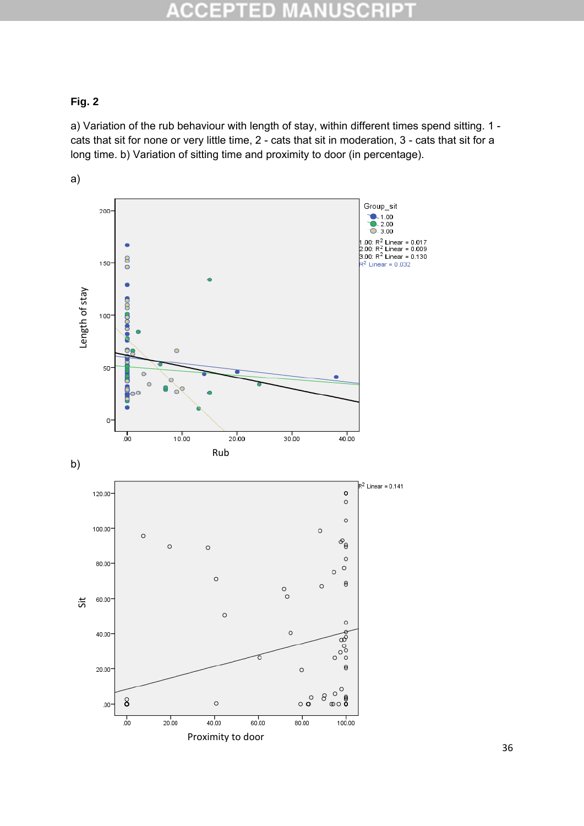#### p R CCE  $\blacksquare$ D n.  $\pm$

### **Fig. 2**

a) Variation of the rub behaviour with length of stay, within different times spend sitting. 1 cats that sit for none or very little time, 2 - cats that sit in moderation, 3 - cats that sit for a long time. b) Variation of sitting time and proximity to door (in percentage).



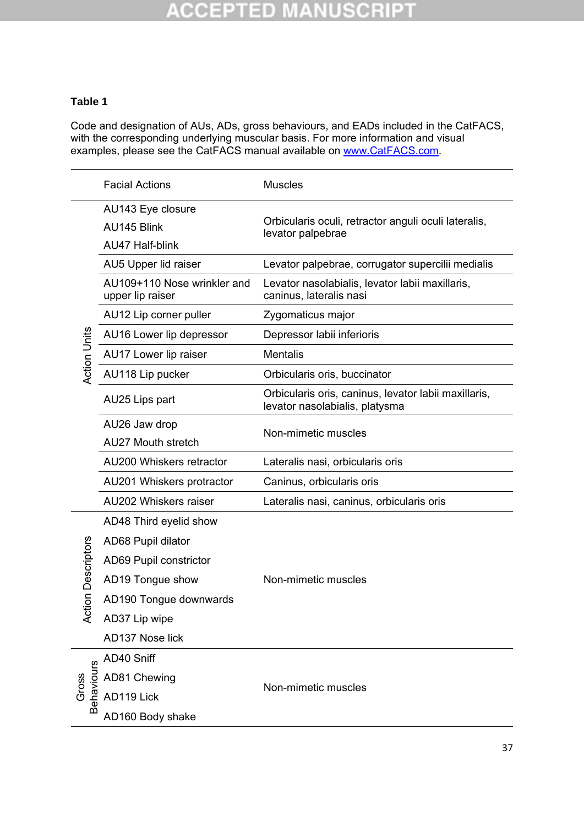## **ACCEPTED MANUSCRIPT**

### **Table 1**

Code and designation of AUs, ADs, gross behaviours, and EADs included in the CatFACS, with the corresponding underlying muscular basis. For more information and visual examples, please see the CatFACS manual available on www.CatFACS.com.

|                     | <b>Facial Actions</b>                           | <b>Muscles</b>                                                                         |  |  |  |  |
|---------------------|-------------------------------------------------|----------------------------------------------------------------------------------------|--|--|--|--|
|                     | AU143 Eye closure<br>AU145 Blink                | Orbicularis oculi, retractor anguli oculi lateralis,                                   |  |  |  |  |
|                     | <b>AU47 Half-blink</b>                          | levator palpebrae                                                                      |  |  |  |  |
|                     | AU5 Upper lid raiser                            | Levator palpebrae, corrugator supercilii medialis                                      |  |  |  |  |
|                     | AU109+110 Nose wrinkler and<br>upper lip raiser | Levator nasolabialis, levator labii maxillaris,<br>caninus, lateralis nasi             |  |  |  |  |
|                     | AU12 Lip corner puller                          | Zygomaticus major                                                                      |  |  |  |  |
|                     | AU16 Lower lip depressor                        | Depressor labii inferioris                                                             |  |  |  |  |
|                     | AU17 Lower lip raiser                           | <b>Mentalis</b>                                                                        |  |  |  |  |
| <b>Action Units</b> | AU118 Lip pucker                                | Orbicularis oris, buccinator                                                           |  |  |  |  |
|                     | AU25 Lips part                                  | Orbicularis oris, caninus, levator labii maxillaris,<br>levator nasolabialis, platysma |  |  |  |  |
|                     | AU26 Jaw drop<br><b>AU27 Mouth stretch</b>      | Non-mimetic muscles                                                                    |  |  |  |  |
|                     | AU200 Whiskers retractor                        | Lateralis nasi, orbicularis oris                                                       |  |  |  |  |
|                     | AU201 Whiskers protractor                       | Caninus, orbicularis oris                                                              |  |  |  |  |
|                     | <b>AU202 Whiskers raiser</b>                    | Lateralis nasi, caninus, orbicularis oris                                              |  |  |  |  |
|                     | AD48 Third eyelid show                          |                                                                                        |  |  |  |  |
|                     | AD68 Pupil dilator                              |                                                                                        |  |  |  |  |
| tion Descriptors    | AD69 Pupil constrictor                          | Non-mimetic muscles                                                                    |  |  |  |  |
|                     | AD19 Tongue show                                |                                                                                        |  |  |  |  |
|                     | AD190 Tongue downwards                          |                                                                                        |  |  |  |  |
| ئ≳                  | AD37 Lip wipe                                   |                                                                                        |  |  |  |  |
|                     | AD137 Nose lick                                 |                                                                                        |  |  |  |  |
|                     | AD40 Sniff                                      |                                                                                        |  |  |  |  |
| Gross<br>Behaviours | AD81 Chewing                                    | Non-mimetic muscles                                                                    |  |  |  |  |
|                     | AD119 Lick                                      |                                                                                        |  |  |  |  |
|                     | AD160 Body shake                                |                                                                                        |  |  |  |  |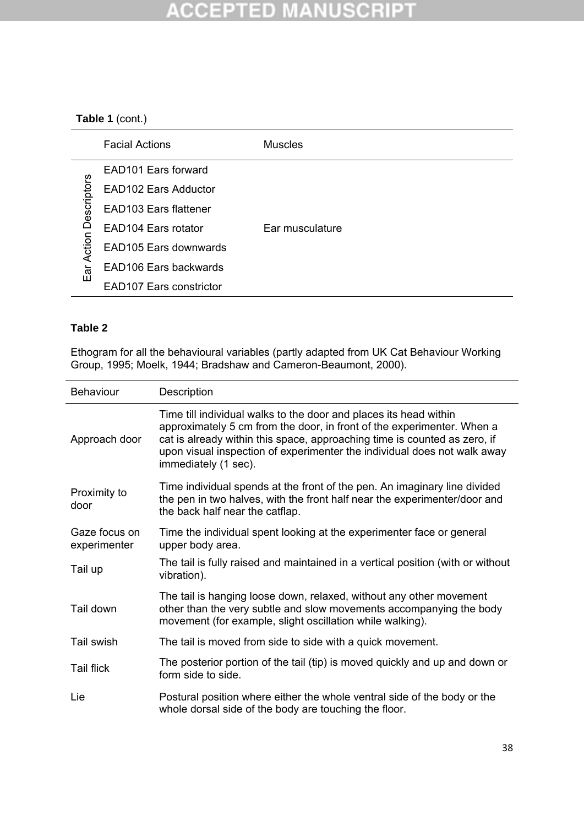#### **\CCEPTED MANUSCRIP1** 座

### **Table 1** (cont.)

|                                | <b>Facial Actions</b>           | <b>Muscles</b>  |
|--------------------------------|---------------------------------|-----------------|
|                                | EAD <sub>101</sub> Ears forward |                 |
| Descriptors<br>Action I<br>Ear | <b>EAD102 Ears Adductor</b>     |                 |
|                                | EAD103 Ears flattener           |                 |
|                                | EAD104 Ears rotator             | Ear musculature |
|                                | EAD105 Ears downwards           |                 |
|                                | EAD106 Ears backwards           |                 |
|                                | <b>EAD107 Ears constrictor</b>  |                 |

### **Table 2**

Ethogram for all the behavioural variables (partly adapted from UK Cat Behaviour Working Group, 1995; Moelk, 1944; Bradshaw and Cameron-Beaumont, 2000).

| <b>Behaviour</b>              | Description                                                                                                                                                                                                                                                                                                                  |
|-------------------------------|------------------------------------------------------------------------------------------------------------------------------------------------------------------------------------------------------------------------------------------------------------------------------------------------------------------------------|
| Approach door                 | Time till individual walks to the door and places its head within<br>approximately 5 cm from the door, in front of the experimenter. When a<br>cat is already within this space, approaching time is counted as zero, if<br>upon visual inspection of experimenter the individual does not walk away<br>immediately (1 sec). |
| Proximity to<br>door          | Time individual spends at the front of the pen. An imaginary line divided<br>the pen in two halves, with the front half near the experimenter/door and<br>the back half near the catflap.                                                                                                                                    |
| Gaze focus on<br>experimenter | Time the individual spent looking at the experimenter face or general<br>upper body area.                                                                                                                                                                                                                                    |
| Tail up                       | The tail is fully raised and maintained in a vertical position (with or without<br>vibration).                                                                                                                                                                                                                               |
| Tail down                     | The tail is hanging loose down, relaxed, without any other movement<br>other than the very subtle and slow movements accompanying the body<br>movement (for example, slight oscillation while walking).                                                                                                                      |
| Tail swish                    | The tail is moved from side to side with a quick movement.                                                                                                                                                                                                                                                                   |
| <b>Tail flick</b>             | The posterior portion of the tail (tip) is moved quickly and up and down or<br>form side to side.                                                                                                                                                                                                                            |
| Lie                           | Postural position where either the whole ventral side of the body or the<br>whole dorsal side of the body are touching the floor.                                                                                                                                                                                            |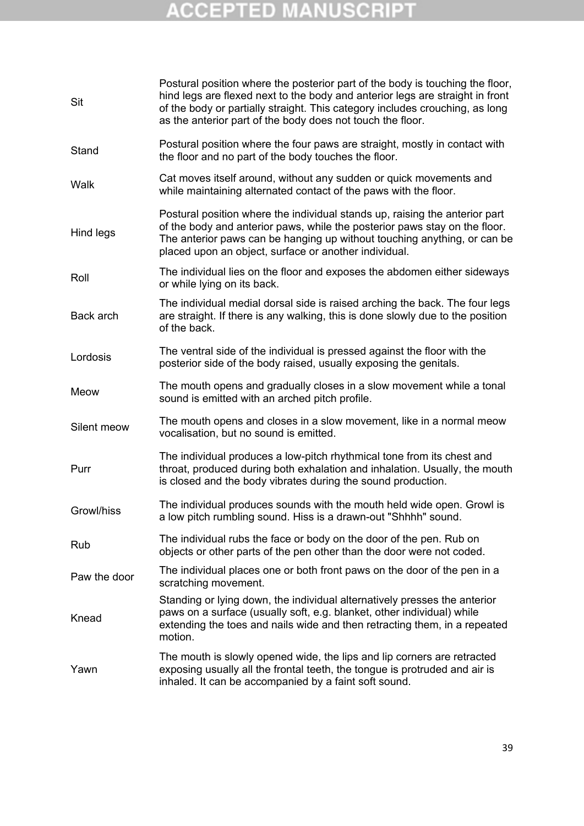# **ACCEPTED MANUSCRIPT**

| Sit          | Postural position where the posterior part of the body is touching the floor,<br>hind legs are flexed next to the body and anterior legs are straight in front<br>of the body or partially straight. This category includes crouching, as long<br>as the anterior part of the body does not touch the floor. |
|--------------|--------------------------------------------------------------------------------------------------------------------------------------------------------------------------------------------------------------------------------------------------------------------------------------------------------------|
| Stand        | Postural position where the four paws are straight, mostly in contact with<br>the floor and no part of the body touches the floor.                                                                                                                                                                           |
| Walk         | Cat moves itself around, without any sudden or quick movements and<br>while maintaining alternated contact of the paws with the floor.                                                                                                                                                                       |
| Hind legs    | Postural position where the individual stands up, raising the anterior part<br>of the body and anterior paws, while the posterior paws stay on the floor.<br>The anterior paws can be hanging up without touching anything, or can be<br>placed upon an object, surface or another individual.               |
| Roll         | The individual lies on the floor and exposes the abdomen either sideways<br>or while lying on its back.                                                                                                                                                                                                      |
| Back arch    | The individual medial dorsal side is raised arching the back. The four legs<br>are straight. If there is any walking, this is done slowly due to the position<br>of the back.                                                                                                                                |
| Lordosis     | The ventral side of the individual is pressed against the floor with the<br>posterior side of the body raised, usually exposing the genitals.                                                                                                                                                                |
| Meow         | The mouth opens and gradually closes in a slow movement while a tonal<br>sound is emitted with an arched pitch profile.                                                                                                                                                                                      |
| Silent meow  | The mouth opens and closes in a slow movement, like in a normal meow<br>vocalisation, but no sound is emitted.                                                                                                                                                                                               |
| Purr         | The individual produces a low-pitch rhythmical tone from its chest and<br>throat, produced during both exhalation and inhalation. Usually, the mouth<br>is closed and the body vibrates during the sound production.                                                                                         |
| Growl/hiss   | The individual produces sounds with the mouth held wide open. Growl is<br>a low pitch rumbling sound. Hiss is a drawn-out "Shhhh" sound.                                                                                                                                                                     |
| Rub          | The individual rubs the face or body on the door of the pen. Rub on<br>objects or other parts of the pen other than the door were not coded.                                                                                                                                                                 |
| Paw the door | The individual places one or both front paws on the door of the pen in a<br>scratching movement.                                                                                                                                                                                                             |
| Knead        | Standing or lying down, the individual alternatively presses the anterior<br>paws on a surface (usually soft, e.g. blanket, other individual) while<br>extending the toes and nails wide and then retracting them, in a repeated<br>motion.                                                                  |
| Yawn         | The mouth is slowly opened wide, the lips and lip corners are retracted<br>exposing usually all the frontal teeth, the tongue is protruded and air is<br>inhaled. It can be accompanied by a faint soft sound.                                                                                               |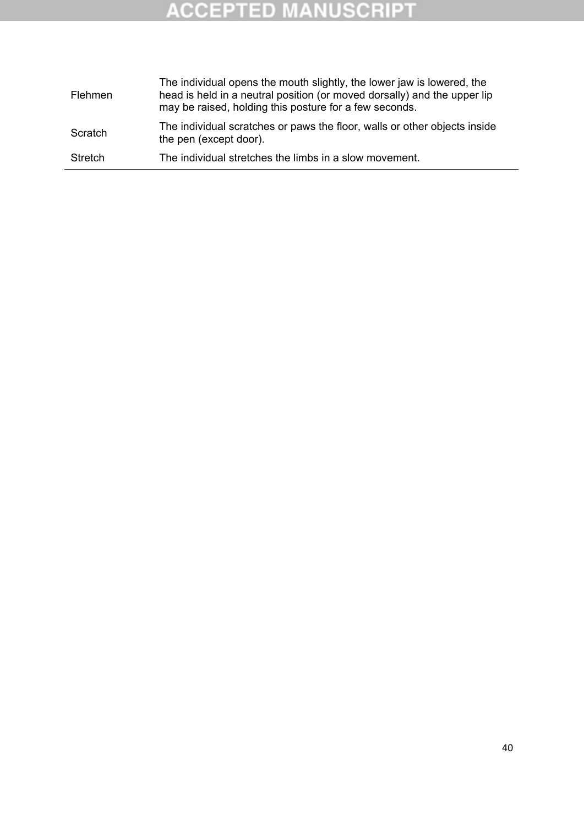# **ACCEPTED MANUSCRIPT**

| Flehmen        | The individual opens the mouth slightly, the lower jaw is lowered, the<br>head is held in a neutral position (or moved dorsally) and the upper lip<br>may be raised, holding this posture for a few seconds. |
|----------------|--------------------------------------------------------------------------------------------------------------------------------------------------------------------------------------------------------------|
| Scratch        | The individual scratches or paws the floor, walls or other objects inside<br>the pen (except door).                                                                                                          |
| <b>Stretch</b> | The individual stretches the limbs in a slow movement.                                                                                                                                                       |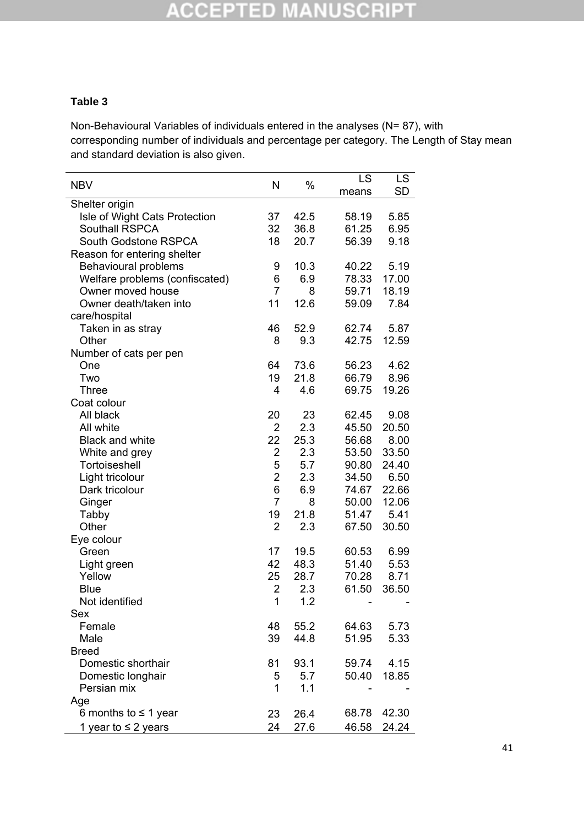#### **CCEPTED MANUSCRIPT** U,

### **Table 3**

Non-Behavioural Variables of individuals entered in the analyses (N= 87), with corresponding number of individuals and percentage per category. The Length of Stay mean and standard deviation is also given.

|                                |                |      | LS    | <b>LS</b> |
|--------------------------------|----------------|------|-------|-----------|
| <b>NBV</b>                     | N              | %    | means | <b>SD</b> |
| Shelter origin                 |                |      |       |           |
| Isle of Wight Cats Protection  | 37             | 42.5 | 58.19 | 5.85      |
| <b>Southall RSPCA</b>          | 32             | 36.8 | 61.25 | 6.95      |
| South Godstone RSPCA           | 18             | 20.7 | 56.39 | 9.18      |
| Reason for entering shelter    |                |      |       |           |
| Behavioural problems           | 9              | 10.3 | 40.22 | 5.19      |
| Welfare problems (confiscated) | 6              | 6.9  | 78.33 | 17.00     |
| Owner moved house              | $\overline{7}$ | 8    | 59.71 | 18.19     |
| Owner death/taken into         | 11             | 12.6 | 59.09 | 7.84      |
| care/hospital                  |                |      |       |           |
| Taken in as stray              | 46             | 52.9 | 62.74 | 5.87      |
| Other                          | 8              | 9.3  | 42.75 | 12.59     |
| Number of cats per pen         |                |      |       |           |
| One                            | 64             | 73.6 | 56.23 | 4.62      |
| Two                            | 19             | 21.8 | 66.79 | 8.96      |
| <b>Three</b>                   | 4              | 4.6  | 69.75 | 19.26     |
| Coat colour                    |                |      |       |           |
| All black                      | 20             | 23   | 62.45 | 9.08      |
| All white                      | $\overline{2}$ | 2.3  | 45.50 | 20.50     |
| <b>Black and white</b>         | 22             | 25.3 | 56.68 | 8.00      |
| White and grey                 | $\overline{c}$ | 2.3  | 53.50 | 33.50     |
| Tortoiseshell                  | 5              | 5.7  | 90.80 | 24.40     |
| Light tricolour                | $\overline{2}$ | 2.3  | 34.50 | 6.50      |
| Dark tricolour                 | 6              | 6.9  | 74.67 | 22.66     |
| Ginger                         | $\overline{7}$ | 8    | 50.00 | 12.06     |
| Tabby                          | 19             | 21.8 | 51.47 | 5.41      |
| Other                          | $\overline{2}$ | 2.3  | 67.50 | 30.50     |
| Eye colour                     |                |      |       |           |
| Green                          | 17             | 19.5 | 60.53 | 6.99      |
| Light green                    | 42             | 48.3 | 51.40 | 5.53      |
| Yellow                         | 25             | 28.7 | 70.28 | 8.71      |
| <b>Blue</b>                    | $\overline{c}$ | 2.3  | 61.50 | 36.50     |
| Not identified                 | 1              | 1.2  |       |           |
| Sex                            |                |      |       |           |
| Female                         | 48             | 55.2 | 64.63 | 5.73      |
| Male                           | 39             | 44.8 | 51.95 | 5.33      |
| <b>Breed</b>                   |                |      |       |           |
| Domestic shorthair             | 81             | 93.1 | 59.74 | 4.15      |
| Domestic longhair              | 5              | 5.7  | 50.40 | 18.85     |
| Persian mix                    | 1              | 1.1  |       |           |
| Age                            |                |      |       |           |
| 6 months to $\leq$ 1 year      | 23             | 26.4 | 68.78 | 42.30     |
| 1 year to $\leq$ 2 years       | 24             | 27.6 | 46.58 | 24.24     |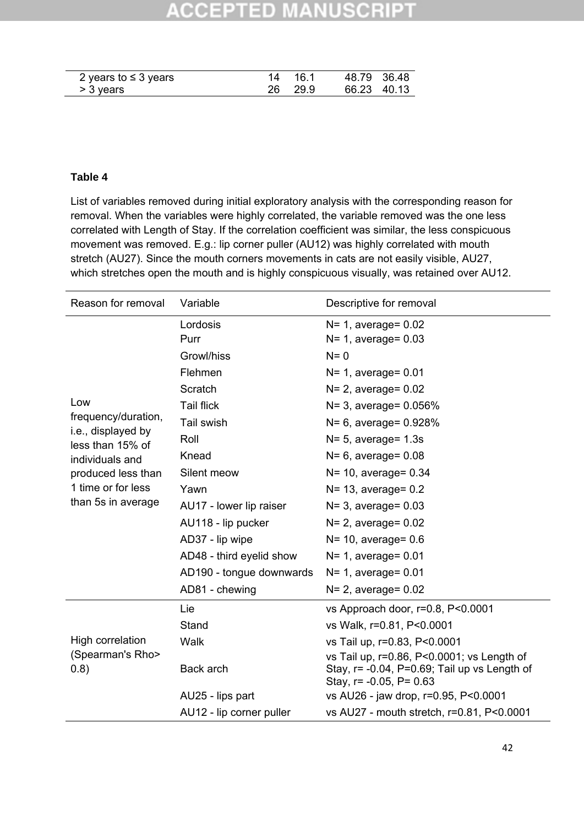#### **CCEPTED** ISCRI

| 2 years to $\leq$ 3 years | 14 161  | 48.79 36.48 |  |
|---------------------------|---------|-------------|--|
| > 3 years                 | 26 29.9 | 66.23 40.13 |  |

### **Table 4**

List of variables removed during initial exploratory analysis with the corresponding reason for removal. When the variables were highly correlated, the variable removed was the one less correlated with Length of Stay. If the correlation coefficient was similar, the less conspicuous movement was removed. E.g.: lip corner puller (AU12) was highly correlated with mouth stretch (AU27). Since the mouth corners movements in cats are not easily visible, AU27, which stretches open the mouth and is highly conspicuous visually, was retained over AU12.

| Reason for removal                     | Variable                 | Descriptive for removal                                                                                                      |  |  |
|----------------------------------------|--------------------------|------------------------------------------------------------------------------------------------------------------------------|--|--|
|                                        | Lordosis                 | $N=1$ , average= 0.02                                                                                                        |  |  |
|                                        | Purr                     | $N=1$ , average= 0.03                                                                                                        |  |  |
|                                        | Growl/hiss               | $N = 0$                                                                                                                      |  |  |
|                                        | Flehmen                  | $N=1$ , average= $0.01$                                                                                                      |  |  |
|                                        | Scratch                  | $N=2$ , average= $0.02$                                                                                                      |  |  |
| Low                                    | <b>Tail flick</b>        | $N = 3$ , average = 0.056%                                                                                                   |  |  |
| frequency/duration,                    | Tail swish               | $N = 6$ , average = 0.928%                                                                                                   |  |  |
| i.e., displayed by<br>less than 15% of | Roll                     | $N=5$ , average= 1.3s                                                                                                        |  |  |
| individuals and                        | Knead                    | $N=6$ , average= 0.08                                                                                                        |  |  |
| produced less than                     | Silent meow              | $N = 10$ , average = 0.34                                                                                                    |  |  |
| 1 time or for less                     | Yawn                     | $N = 13$ , average = 0.2                                                                                                     |  |  |
| than 5s in average                     | AU17 - lower lip raiser  | $N=3$ , average= 0.03                                                                                                        |  |  |
|                                        | AU118 - lip pucker       | $N=2$ , average= $0.02$                                                                                                      |  |  |
|                                        | AD37 - lip wipe          | $N = 10$ , average = 0.6                                                                                                     |  |  |
|                                        | AD48 - third eyelid show | $N=1$ , average= 0.01                                                                                                        |  |  |
|                                        | AD190 - tongue downwards | $N=1$ , average= 0.01                                                                                                        |  |  |
|                                        | AD81 - chewing           | $N = 2$ , average = 0.02                                                                                                     |  |  |
|                                        | Lie                      | vs Approach door, r=0.8, P<0.0001                                                                                            |  |  |
|                                        | Stand                    | vs Walk, r=0.81, P<0.0001                                                                                                    |  |  |
| High correlation                       | Walk                     | vs Tail up, r=0.83, P<0.0001                                                                                                 |  |  |
| (Spearman's Rho><br>(0.8)              | Back arch                | vs Tail up, r=0.86, P<0.0001; vs Length of<br>Stay, r= -0.04, P=0.69; Tail up vs Length of<br>Stay, $r = -0.05$ , $P = 0.63$ |  |  |
|                                        | AU25 - lips part         | vs AU26 - jaw drop, r=0.95, P<0.0001                                                                                         |  |  |
|                                        | AU12 - lip corner puller | vs AU27 - mouth stretch, r=0.81, P<0.0001                                                                                    |  |  |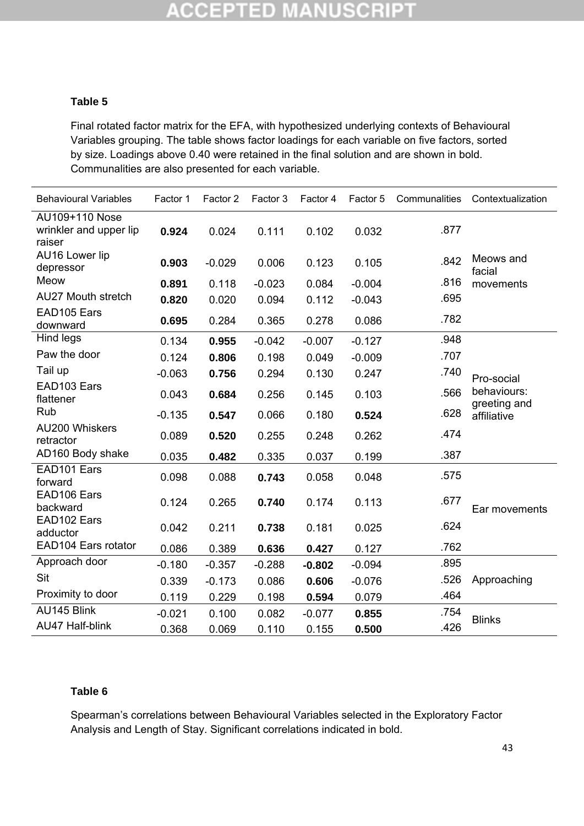#### **ACCEPTED MANUSCRI** P)

### **Table 5**

Final rotated factor matrix for the EFA, with hypothesized underlying contexts of Behavioural Variables grouping. The table shows factor loadings for each variable on five factors, sorted by size. Loadings above 0.40 were retained in the final solution and are shown in bold. Communalities are also presented for each variable.

| <b>Behavioural Variables</b>                       | Factor 1 | Factor 2 | Factor 3 | Factor 4 | Factor 5 | Communalities | Contextualization           |  |
|----------------------------------------------------|----------|----------|----------|----------|----------|---------------|-----------------------------|--|
| AU109+110 Nose<br>wrinkler and upper lip<br>raiser | 0.924    | 0.024    | 0.111    | 0.102    | 0.032    | .877          |                             |  |
| AU16 Lower lip<br>depressor                        | 0.903    | $-0.029$ | 0.006    | 0.123    | 0.105    | .842          | Meows and<br>facial         |  |
| Meow                                               | 0.891    | 0.118    | $-0.023$ | 0.084    | $-0.004$ | .816          | movements                   |  |
| <b>AU27 Mouth stretch</b>                          | 0.820    | 0.020    | 0.094    | 0.112    | $-0.043$ | .695          |                             |  |
| EAD105 Ears<br>downward                            | 0.695    | 0.284    | 0.365    | 0.278    | 0.086    | .782          |                             |  |
| Hind legs                                          | 0.134    | 0.955    | $-0.042$ | $-0.007$ | $-0.127$ | .948          |                             |  |
| Paw the door                                       | 0.124    | 0.806    | 0.198    | 0.049    | $-0.009$ | .707          |                             |  |
| Tail up                                            | $-0.063$ | 0.756    | 0.294    | 0.130    | 0.247    | .740          | Pro-social                  |  |
| EAD103 Ears<br>flattener                           | 0.043    | 0.684    | 0.256    | 0.145    | 0.103    | .566          | behaviours:<br>greeting and |  |
| Rub                                                | $-0.135$ | 0.547    | 0.066    | 0.180    | 0.524    | .628          | affiliative                 |  |
| <b>AU200 Whiskers</b><br>retractor                 | 0.089    | 0.520    | 0.255    | 0.248    | 0.262    | .474          |                             |  |
| AD160 Body shake                                   | 0.035    | 0.482    | 0.335    | 0.037    | 0.199    | .387          |                             |  |
| EAD101 Ears<br>forward                             | 0.098    | 0.088    | 0.743    | 0.058    | 0.048    | .575          |                             |  |
| EAD106 Ears<br>backward                            | 0.124    | 0.265    | 0.740    | 0.174    | 0.113    | .677          | Ear movements               |  |
| EAD102 Ears<br>adductor                            | 0.042    | 0.211    | 0.738    | 0.181    | 0.025    | .624          |                             |  |
| EAD104 Ears rotator                                | 0.086    | 0.389    | 0.636    | 0.427    | 0.127    | .762          |                             |  |
| Approach door                                      | $-0.180$ | $-0.357$ | $-0.288$ | $-0.802$ | $-0.094$ | .895          |                             |  |
| Sit                                                | 0.339    | $-0.173$ | 0.086    | 0.606    | $-0.076$ | .526          | Approaching                 |  |
| Proximity to door                                  | 0.119    | 0.229    | 0.198    | 0.594    | 0.079    | .464          |                             |  |
| AU145 Blink                                        | $-0.021$ | 0.100    | 0.082    | $-0.077$ | 0.855    | .754          |                             |  |
| AU47 Half-blink                                    | 0.368    | 0.069    | 0.110    | 0.155    | 0.500    | .426          | <b>Blinks</b>               |  |

### **Table 6**

Spearman's correlations between Behavioural Variables selected in the Exploratory Factor Analysis and Length of Stay. Significant correlations indicated in bold.